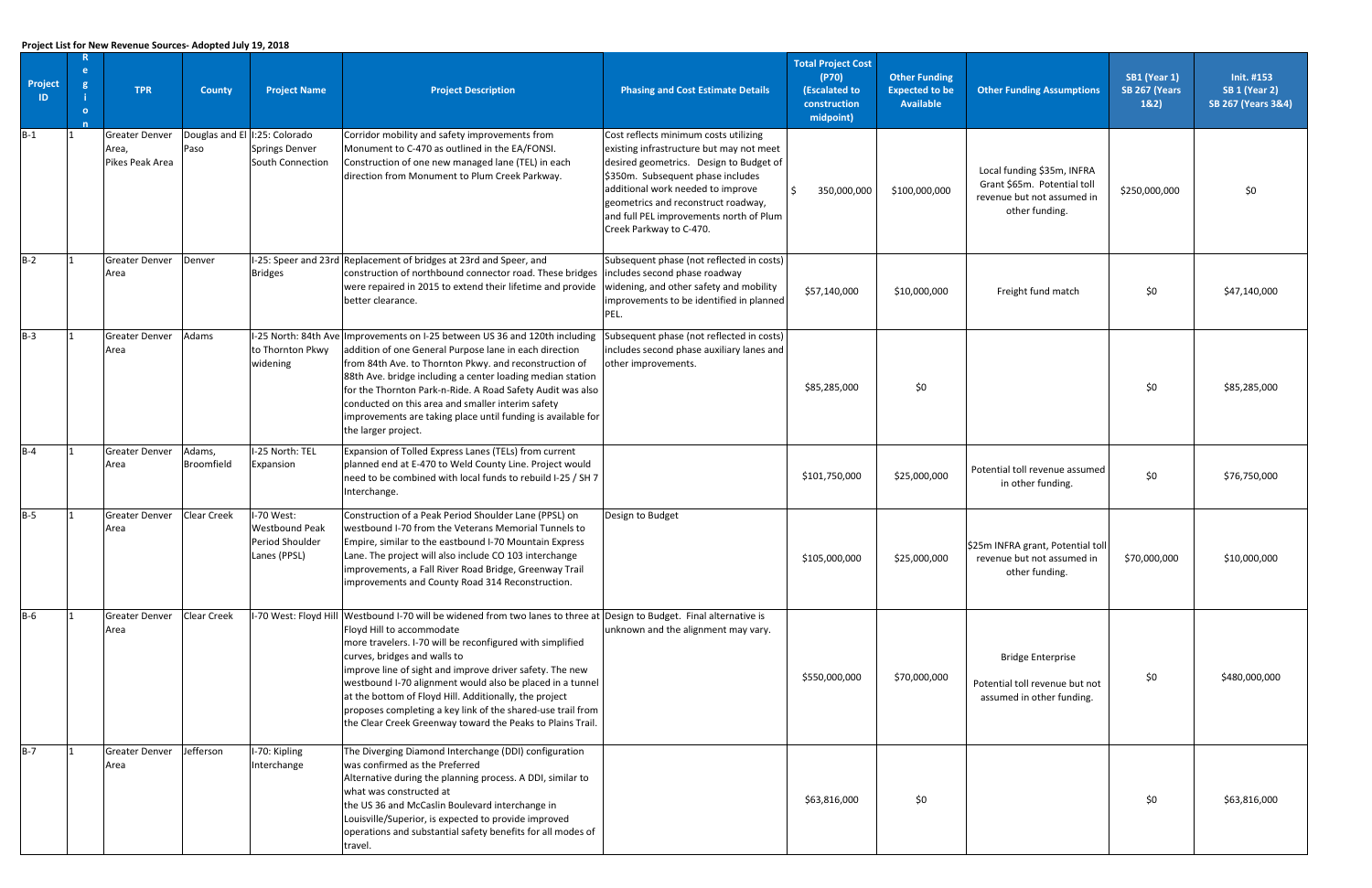| Project<br>-ID- | -e<br>-0 | <b>TPR</b>                                        | <b>County</b>        | <b>Project Name</b>                                                          | <b>Project Description</b>                                                                                                                                                                                                                                                                                                                                                                                                                                                                                                                                       | <b>Phasing and Cost Estimate Details</b>                                                                                                                                                                                                                                                                            | <b>Total Project Cost</b><br>(P70)<br>(Escalated to<br>construction<br>midpoint) | <b>Other Funding</b><br><b>Expected to be</b><br><b>Available</b> | <b>Other Funding Assumptions</b>                                                                          | SB1 (Year 1)<br>SB 267 (Years<br>182) | Init. #153<br><b>SB 1 (Year 2)</b><br><b>SB 267 (Years 3&amp;4)</b> |
|-----------------|----------|---------------------------------------------------|----------------------|------------------------------------------------------------------------------|------------------------------------------------------------------------------------------------------------------------------------------------------------------------------------------------------------------------------------------------------------------------------------------------------------------------------------------------------------------------------------------------------------------------------------------------------------------------------------------------------------------------------------------------------------------|---------------------------------------------------------------------------------------------------------------------------------------------------------------------------------------------------------------------------------------------------------------------------------------------------------------------|----------------------------------------------------------------------------------|-------------------------------------------------------------------|-----------------------------------------------------------------------------------------------------------|---------------------------------------|---------------------------------------------------------------------|
| $B-1$           |          | <b>Greater Denver</b><br>Area,<br>Pikes Peak Area | Paso                 | Douglas and El   I:25: Colorado<br><b>Springs Denver</b><br>South Connection | Corridor mobility and safety improvements from<br>Monument to C-470 as outlined in the EA/FONSI.<br>Construction of one new managed lane (TEL) in each<br>direction from Monument to Plum Creek Parkway.                                                                                                                                                                                                                                                                                                                                                         | Cost reflects minimum costs utilizing<br>existing infrastructure but may not meet<br>desired geometrics. Design to Budget of<br>\$350m. Subsequent phase includes<br>additional work needed to improve<br>geometrics and reconstruct roadway,<br>and full PEL improvements north of Plum<br>Creek Parkway to C-470. | 350,000,000                                                                      | \$100,000,000                                                     | Local funding \$35m, INFRA<br>Grant \$65m. Potential toll<br>revenue but not assumed in<br>other funding. | \$250,000,000                         | \$0                                                                 |
| $B-2$           |          | <b>Greater Denver</b><br>Area                     | Denver               | <b>Bridges</b>                                                               | I-25: Speer and 23rd Replacement of bridges at 23rd and Speer, and<br>construction of northbound connector road. These bridges<br>were repaired in 2015 to extend their lifetime and provide<br>better clearance.                                                                                                                                                                                                                                                                                                                                                | Subsequent phase (not reflected in costs)<br>includes second phase roadway<br>widening, and other safety and mobility<br>improvements to be identified in planned<br>PEL.                                                                                                                                           | \$57,140,000                                                                     | \$10,000,000                                                      | Freight fund match                                                                                        | \$0                                   | \$47,140,000                                                        |
| $B-3$           |          | <b>Greater Denver</b><br>Area                     | Adams                | to Thornton Pkwy<br>widening                                                 | I-25 North: 84th Ave Improvements on I-25 between US 36 and 120th including<br>addition of one General Purpose lane in each direction<br>from 84th Ave. to Thornton Pkwy. and reconstruction of<br>88th Ave. bridge including a center loading median station<br>for the Thornton Park-n-Ride. A Road Safety Audit was also<br>conducted on this area and smaller interim safety<br>improvements are taking place until funding is available for<br>the larger project.                                                                                          | Subsequent phase (not reflected in costs)<br>includes second phase auxiliary lanes and<br>other improvements.                                                                                                                                                                                                       | \$85,285,000                                                                     | \$0                                                               |                                                                                                           | \$0                                   | \$85,285,000                                                        |
| $B-4$           |          | <b>Greater Denver</b><br>Area                     | Adams,<br>Broomfield | I-25 North: TEL<br>Expansion                                                 | Expansion of Tolled Express Lanes (TELs) from current<br>planned end at E-470 to Weld County Line. Project would<br>need to be combined with local funds to rebuild I-25 / SH 7<br>Interchange.                                                                                                                                                                                                                                                                                                                                                                  |                                                                                                                                                                                                                                                                                                                     | \$101,750,000                                                                    | \$25,000,000                                                      | Potential toll revenue assumed<br>in other funding.                                                       | \$0                                   | \$76,750,000                                                        |
| $B-5$           |          | <b>Greater Denver</b><br>Area                     | Clear Creek          | I-70 West:<br><b>Westbound Peak</b><br>Period Shoulder<br>Lanes (PPSL)       | Construction of a Peak Period Shoulder Lane (PPSL) on<br>westbound I-70 from the Veterans Memorial Tunnels to<br>Empire, similar to the eastbound I-70 Mountain Express<br>Lane. The project will also include CO 103 interchange<br>improvements, a Fall River Road Bridge, Greenway Trail<br>improvements and County Road 314 Reconstruction.                                                                                                                                                                                                                  | Design to Budget                                                                                                                                                                                                                                                                                                    | \$105,000,000                                                                    | \$25,000,000                                                      | \$25m INFRA grant, Potential toll<br>revenue but not assumed in<br>other funding.                         | \$70,000,000                          | \$10,000,000                                                        |
| $B-6$           |          | <b>Greater Denver</b><br>Area                     | <b>Clear Creek</b>   |                                                                              | I-70 West: Floyd Hill Westbound I-70 will be widened from two lanes to three at Design to Budget. Final alternative is<br>Floyd Hill to accommodate<br>more travelers. I-70 will be reconfigured with simplified<br>curves, bridges and walls to<br>improve line of sight and improve driver safety. The new<br>westbound I-70 alignment would also be placed in a tunnel<br>at the bottom of Floyd Hill. Additionally, the project<br>proposes completing a key link of the shared-use trail from<br>the Clear Creek Greenway toward the Peaks to Plains Trail. | unknown and the alignment may vary.                                                                                                                                                                                                                                                                                 | \$550,000,000                                                                    | \$70,000,000                                                      | <b>Bridge Enterprise</b><br>Potential toll revenue but not<br>assumed in other funding.                   | \$0                                   | \$480,000,000                                                       |
| $B-7$           |          | <b>Greater Denver</b><br>Area                     | Jefferson            | I-70: Kipling<br>Interchange                                                 | The Diverging Diamond Interchange (DDI) configuration<br>was confirmed as the Preferred<br>Alternative during the planning process. A DDI, similar to<br>what was constructed at<br>the US 36 and McCaslin Boulevard interchange in<br>Louisville/Superior, is expected to provide improved<br>operations and substantial safety benefits for all modes of<br>travel.                                                                                                                                                                                            |                                                                                                                                                                                                                                                                                                                     | \$63,816,000                                                                     | \$0                                                               |                                                                                                           | \$0                                   | \$63,816,000                                                        |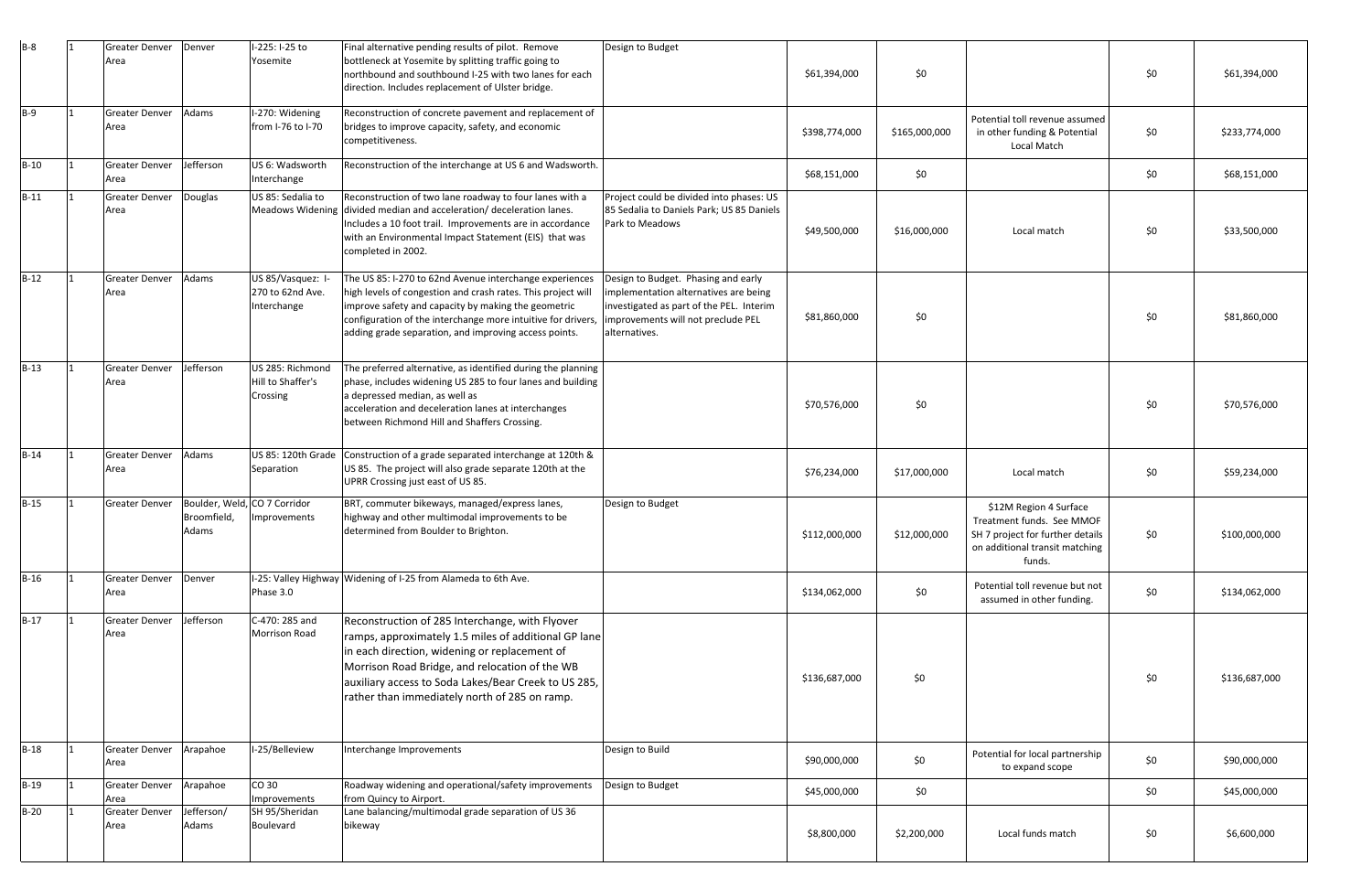| $B-8$  | Greater Denver<br>Area        | Denver                                               | I-225: I-25 to<br>Yosemite                           | Final alternative pending results of pilot. Remove<br>bottleneck at Yosemite by splitting traffic going to                                                                                                                                                                                                          | Design to Budget                                                                                                                                                                |               |               |                                                                                                                                     |     |               |
|--------|-------------------------------|------------------------------------------------------|------------------------------------------------------|---------------------------------------------------------------------------------------------------------------------------------------------------------------------------------------------------------------------------------------------------------------------------------------------------------------------|---------------------------------------------------------------------------------------------------------------------------------------------------------------------------------|---------------|---------------|-------------------------------------------------------------------------------------------------------------------------------------|-----|---------------|
|        |                               |                                                      |                                                      | northbound and southbound I-25 with two lanes for each<br>direction. Includes replacement of Ulster bridge.                                                                                                                                                                                                         |                                                                                                                                                                                 | \$61,394,000  | \$0           |                                                                                                                                     | \$0 | \$61,394,000  |
| $B-9$  | <b>Greater Denver</b><br>Area | Adams                                                | I-270: Widening<br>from I-76 to I-70                 | Reconstruction of concrete pavement and replacement of<br>bridges to improve capacity, safety, and economic<br>competitiveness.                                                                                                                                                                                     |                                                                                                                                                                                 | \$398,774,000 | \$165,000,000 | Potential toll revenue assumed<br>in other funding & Potential<br>Local Match                                                       | \$0 | \$233,774,000 |
| $B-10$ | <b>Greater Denver</b><br>Area | Jefferson                                            | US 6: Wadsworth<br>Interchange                       | Reconstruction of the interchange at US 6 and Wadsworth.                                                                                                                                                                                                                                                            |                                                                                                                                                                                 | \$68,151,000  | \$0           |                                                                                                                                     | \$0 | \$68,151,000  |
| $B-11$ | <b>Greater Denver</b><br>Area | Douglas                                              | US 85: Sedalia to                                    | Reconstruction of two lane roadway to four lanes with a<br>Meadows Widening divided median and acceleration/ deceleration lanes.<br>Includes a 10 foot trail. Improvements are in accordance<br>with an Environmental Impact Statement (EIS) that was<br>completed in 2002.                                         | Project could be divided into phases: US<br>85 Sedalia to Daniels Park; US 85 Daniels<br>Park to Meadows                                                                        | \$49,500,000  | \$16,000,000  | Local match                                                                                                                         | \$0 | \$33,500,000  |
| $B-12$ | <b>Greater Denver</b><br>Area | Adams                                                | US 85/Vasquez: I-<br>270 to 62nd Ave.<br>Interchange | The US 85: I-270 to 62nd Avenue interchange experiences<br>high levels of congestion and crash rates. This project will<br>improve safety and capacity by making the geometric<br>configuration of the interchange more intuitive for drivers,<br>adding grade separation, and improving access points.             | Design to Budget. Phasing and early<br>implementation alternatives are being<br>investigated as part of the PEL. Interim<br>improvements will not preclude PEL<br>alternatives. | \$81,860,000  | \$0           |                                                                                                                                     | \$0 | \$81,860,000  |
| $B-13$ | <b>Greater Denver</b><br>Area | Jefferson                                            | US 285: Richmond<br>Hill to Shaffer's<br>Crossing    | The preferred alternative, as identified during the planning<br>phase, includes widening US 285 to four lanes and building<br>a depressed median, as well as<br>acceleration and deceleration lanes at interchanges<br>between Richmond Hill and Shaffers Crossing.                                                 |                                                                                                                                                                                 | \$70,576,000  | \$0           |                                                                                                                                     | \$0 | \$70,576,000  |
| $B-14$ | <b>Greater Denver</b><br>Area | Adams                                                | US 85: 120th Grade<br>Separation                     | Construction of a grade separated interchange at 120th &<br>US 85. The project will also grade separate 120th at the<br>UPRR Crossing just east of US 85.                                                                                                                                                           |                                                                                                                                                                                 | \$76,234,000  | \$17,000,000  | Local match                                                                                                                         | \$0 | \$59,234,000  |
| $B-15$ | <b>Greater Denver</b>         | Boulder, Weld, CO 7 Corridor<br>Broomfield,<br>Adams | Improvements                                         | BRT, commuter bikeways, managed/express lanes,<br>highway and other multimodal improvements to be<br>determined from Boulder to Brighton.                                                                                                                                                                           | Design to Budget                                                                                                                                                                | \$112,000,000 | \$12,000,000  | \$12M Region 4 Surface<br>Treatment funds. See MMOF<br>SH 7 project for further details<br>on additional transit matching<br>funds. | \$0 | \$100,000,000 |
| $B-16$ | <b>Greater Denver</b><br>Area | Denver                                               | Phase 3.0                                            | I-25: Valley Highway Widening of I-25 from Alameda to 6th Ave.                                                                                                                                                                                                                                                      |                                                                                                                                                                                 | \$134,062,000 | \$0           | Potential toll revenue but not<br>assumed in other funding.                                                                         | \$0 | \$134,062,000 |
| $B-17$ | <b>Greater Denver</b><br>Area | Jefferson                                            | C-470: 285 and<br><b>Morrison Road</b>               | Reconstruction of 285 Interchange, with Flyover<br>ramps, approximately 1.5 miles of additional GP lane<br>in each direction, widening or replacement of<br>Morrison Road Bridge, and relocation of the WB<br>auxiliary access to Soda Lakes/Bear Creek to US 285,<br>rather than immediately north of 285 on ramp. |                                                                                                                                                                                 | \$136,687,000 | \$0           |                                                                                                                                     | \$0 | \$136,687,000 |
| $B-18$ | <b>Greater Denver</b><br>Area | Arapahoe                                             | I-25/Belleview                                       | Interchange Improvements                                                                                                                                                                                                                                                                                            | Design to Build                                                                                                                                                                 | \$90,000,000  | \$0           | Potential for local partnership<br>to expand scope                                                                                  | \$0 | \$90,000,000  |
| $B-19$ | <b>Greater Denver</b><br>Area | Arapahoe                                             | CO 30<br>Improvements                                | Roadway widening and operational/safety improvements<br>from Quincy to Airport.                                                                                                                                                                                                                                     | Design to Budget                                                                                                                                                                | \$45,000,000  | \$0           |                                                                                                                                     | \$0 | \$45,000,000  |
| $B-20$ | <b>Greater Denver</b><br>Area | Jefferson/<br>Adams                                  | SH 95/Sheridan<br>Boulevard                          | Lane balancing/multimodal grade separation of US 36<br>bikeway                                                                                                                                                                                                                                                      |                                                                                                                                                                                 | \$8,800,000   | \$2,200,000   | Local funds match                                                                                                                   | \$0 | \$6,600,000   |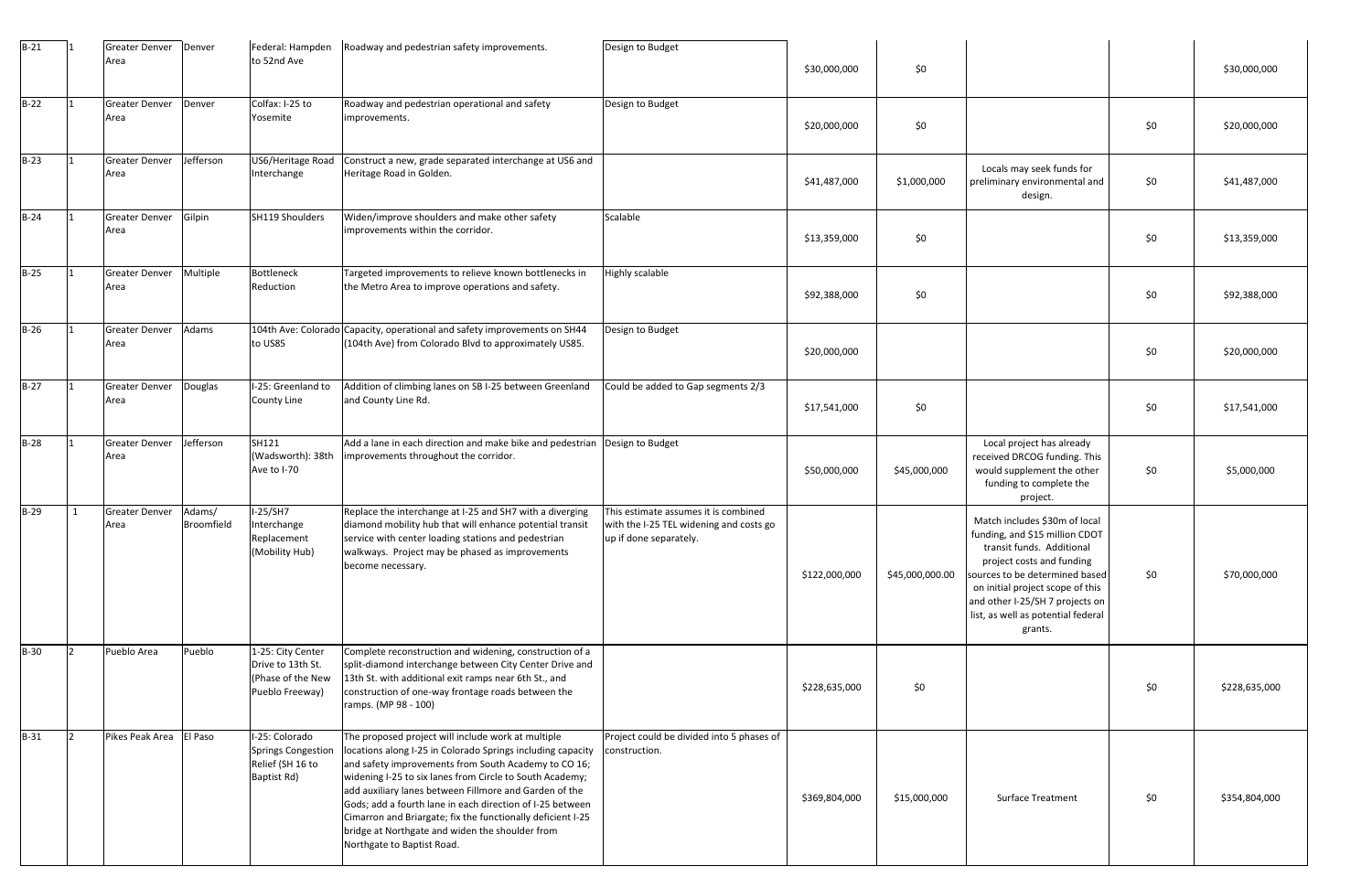| $B-21$ |     | Greater Denver Denver<br>Area |                      | Federal: Hampden<br>to 52nd Ave                                                | Roadway and pedestrian safety improvements.                                                                                                                                                                                                                                                                                                                                                                                                                                                                  | Design to Budget                                                                                          | \$30,000,000  | \$0             |                                                                                                                                                                                                                                                                                     |     | \$30,000,000  |
|--------|-----|-------------------------------|----------------------|--------------------------------------------------------------------------------|--------------------------------------------------------------------------------------------------------------------------------------------------------------------------------------------------------------------------------------------------------------------------------------------------------------------------------------------------------------------------------------------------------------------------------------------------------------------------------------------------------------|-----------------------------------------------------------------------------------------------------------|---------------|-----------------|-------------------------------------------------------------------------------------------------------------------------------------------------------------------------------------------------------------------------------------------------------------------------------------|-----|---------------|
| $B-22$ |     | <b>Greater Denver</b><br>Area | Denver               | Colfax: I-25 to<br>Yosemite                                                    | Roadway and pedestrian operational and safety<br>improvements.                                                                                                                                                                                                                                                                                                                                                                                                                                               | Design to Budget                                                                                          | \$20,000,000  | \$0             |                                                                                                                                                                                                                                                                                     | \$0 | \$20,000,000  |
| $B-23$ |     | <b>Greater Denver</b><br>Area | Jefferson            | US6/Heritage Road<br>Interchange                                               | Construct a new, grade separated interchange at US6 and<br>Heritage Road in Golden.                                                                                                                                                                                                                                                                                                                                                                                                                          |                                                                                                           | \$41,487,000  | \$1,000,000     | Locals may seek funds for<br>preliminary environmental and<br>design.                                                                                                                                                                                                               | \$0 | \$41,487,000  |
| $B-24$ |     | <b>Greater Denver</b><br>Area | Gilpin               | SH119 Shoulders                                                                | Widen/improve shoulders and make other safety<br>improvements within the corridor.                                                                                                                                                                                                                                                                                                                                                                                                                           | Scalable                                                                                                  | \$13,359,000  | \$0             |                                                                                                                                                                                                                                                                                     | \$0 | \$13,359,000  |
| $B-25$ |     | <b>Greater Denver</b><br>Area | Multiple             | <b>Bottleneck</b><br>Reduction                                                 | Targeted improvements to relieve known bottlenecks in<br>the Metro Area to improve operations and safety.                                                                                                                                                                                                                                                                                                                                                                                                    | <b>Highly scalable</b>                                                                                    | \$92,388,000  | \$0             |                                                                                                                                                                                                                                                                                     | \$0 | \$92,388,000  |
| $B-26$ |     | <b>Greater Denver</b><br>Area | Adams                | to US85                                                                        | 104th Ave: Colorado Capacity, operational and safety improvements on SH44<br>(104th Ave) from Colorado Blvd to approximately US85.                                                                                                                                                                                                                                                                                                                                                                           | Design to Budget                                                                                          | \$20,000,000  |                 |                                                                                                                                                                                                                                                                                     | \$0 | \$20,000,000  |
| $B-27$ |     | <b>Greater Denver</b><br>Area | Douglas              | I-25: Greenland to<br><b>County Line</b>                                       | Addition of climbing lanes on SB I-25 between Greenland<br>and County Line Rd.                                                                                                                                                                                                                                                                                                                                                                                                                               | Could be added to Gap segments 2/3                                                                        | \$17,541,000  | \$0             |                                                                                                                                                                                                                                                                                     | \$0 | \$17,541,000  |
| $B-28$ |     | <b>Greater Denver</b><br>Area | Jefferson            | SH121<br>(Wadsworth): 38th<br>Ave to I-70                                      | Add a lane in each direction and make bike and pedestrian  Design to Budget<br>improvements throughout the corridor.                                                                                                                                                                                                                                                                                                                                                                                         |                                                                                                           | \$50,000,000  | \$45,000,000    | Local project has already<br>received DRCOG funding. This<br>would supplement the other<br>funding to complete the<br>project.                                                                                                                                                      | \$0 | \$5,000,000   |
| $B-29$ | 1   | <b>Greater Denver</b><br>Area | Adams/<br>Broomfield | $I-25/SH7$<br>Interchange<br>Replacement<br>(Mobility Hub)                     | Replace the interchange at I-25 and SH7 with a diverging<br>diamond mobility hub that will enhance potential transit<br>service with center loading stations and pedestrian<br>walkways. Project may be phased as improvements<br>become necessary.                                                                                                                                                                                                                                                          | This estimate assumes it is combined<br>with the I-25 TEL widening and costs go<br>up if done separately. | \$122,000,000 | \$45,000,000.00 | Match includes \$30m of local<br>funding, and \$15 million CDOT<br>transit funds. Additional<br>project costs and funding<br>sources to be determined based<br>on initial project scope of this<br>and other I-25/SH 7 projects on<br>list, as well as potential federal<br>grants. | \$0 | \$70,000,000  |
| $B-30$ | 12. | Pueblo Area                   | Pueblo               | 1-25: City Center<br>Drive to 13th St.<br>(Phase of the New<br>Pueblo Freeway) | Complete reconstruction and widening, construction of a<br>split-diamond interchange between City Center Drive and<br>13th St. with additional exit ramps near 6th St., and<br>construction of one-way frontage roads between the<br>ramps. (MP 98 - 100)                                                                                                                                                                                                                                                    |                                                                                                           | \$228,635,000 | \$0             |                                                                                                                                                                                                                                                                                     | \$0 | \$228,635,000 |
| $B-31$ |     | Pikes Peak Area   El Paso     |                      | I-25: Colorado<br>Springs Congestion<br>Relief (SH 16 to<br>Baptist Rd)        | The proposed project will include work at multiple<br>locations along I-25 in Colorado Springs including capacity<br>and safety improvements from South Academy to CO 16;<br>widening I-25 to six lanes from Circle to South Academy;<br>add auxiliary lanes between Fillmore and Garden of the<br>Gods; add a fourth lane in each direction of I-25 between<br>Cimarron and Briargate; fix the functionally deficient I-25<br>bridge at Northgate and widen the shoulder from<br>Northgate to Baptist Road. | Project could be divided into 5 phases of<br>construction.                                                | \$369,804,000 | \$15,000,000    | <b>Surface Treatment</b>                                                                                                                                                                                                                                                            | \$0 | \$354,804,000 |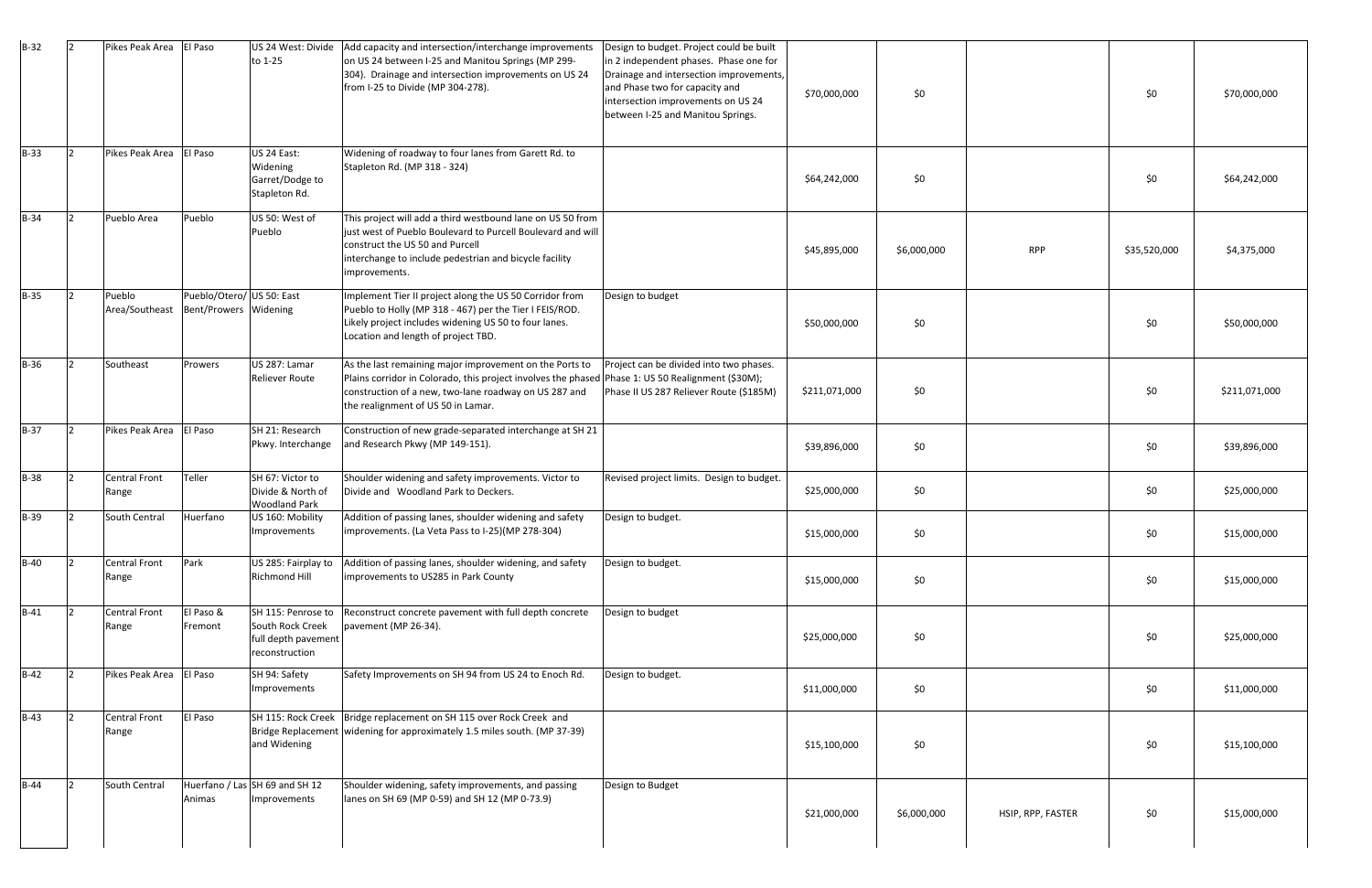| $B-32$      | Pikes Peak Area   El Paso |                                                    | to 1-25                                                       | US 24 West: Divide   Add capacity and intersection/interchange improvements<br>on US 24 between I-25 and Manitou Springs (MP 299-<br>304). Drainage and intersection improvements on US 24<br>from I-25 to Divide (MP 304-278).                             | Design to budget. Project could be built<br>in 2 independent phases. Phase one for<br>Drainage and intersection improvements,<br>and Phase two for capacity and<br>intersection improvements on US 24<br>between I-25 and Manitou Springs. | \$70,000,000  | \$0\$       |                   | \$0          | \$70,000,000  |
|-------------|---------------------------|----------------------------------------------------|---------------------------------------------------------------|-------------------------------------------------------------------------------------------------------------------------------------------------------------------------------------------------------------------------------------------------------------|--------------------------------------------------------------------------------------------------------------------------------------------------------------------------------------------------------------------------------------------|---------------|-------------|-------------------|--------------|---------------|
| $B-33$      | Pikes Peak Area   El Paso |                                                    | US 24 East:<br>Widening<br>Garret/Dodge to<br>Stapleton Rd.   | Widening of roadway to four lanes from Garett Rd. to<br>Stapleton Rd. (MP 318 - 324)                                                                                                                                                                        |                                                                                                                                                                                                                                            | \$64,242,000  | \$0         |                   | \$0          | \$64,242,000  |
| $B-34$      | Pueblo Area               | Pueblo                                             | US 50: West of<br>Pueblo                                      | This project will add a third westbound lane on US 50 from<br>just west of Pueblo Boulevard to Purcell Boulevard and will<br>construct the US 50 and Purcell<br>interchange to include pedestrian and bicycle facility<br>improvements.                     |                                                                                                                                                                                                                                            | \$45,895,000  | \$6,000,000 | <b>RPP</b>        | \$35,520,000 | \$4,375,000   |
| $B-35$      | Pueblo<br>Area/Southeast  | Pueblo/Otero/ US 50: East<br>Bent/Prowers Widening |                                                               | Implement Tier II project along the US 50 Corridor from<br>Pueblo to Holly (MP 318 - 467) per the Tier I FEIS/ROD.<br>Likely project includes widening US 50 to four lanes.<br>Location and length of project TBD.                                          | Design to budget                                                                                                                                                                                                                           | \$50,000,000  | \$0         |                   | \$0          | \$50,000,000  |
| <b>B-36</b> | Southeast                 | Prowers                                            | US 287: Lamar<br><b>Reliever Route</b>                        | As the last remaining major improvement on the Ports to<br>Plains corridor in Colorado, this project involves the phased Phase 1: US 50 Realignment (\$30M);<br>construction of a new, two-lane roadway on US 287 and<br>the realignment of US 50 in Lamar. | Project can be divided into two phases.<br>Phase II US 287 Reliever Route (\$185M)                                                                                                                                                         | \$211,071,000 | \$0         |                   | \$0          | \$211,071,000 |
| $B-37$      | Pikes Peak Area           | El Paso                                            | SH 21: Research<br>Pkwy. Interchange                          | Construction of new grade-separated interchange at SH 21<br>and Research Pkwy (MP 149-151).                                                                                                                                                                 |                                                                                                                                                                                                                                            | \$39,896,000  | \$0         |                   | \$0          | \$39,896,000  |
| <b>B-38</b> | Central Front<br>Range    | Teller                                             | SH 67: Victor to<br>Divide & North of<br><b>Woodland Park</b> | Shoulder widening and safety improvements. Victor to<br>Divide and Woodland Park to Deckers.                                                                                                                                                                | Revised project limits. Design to budget.                                                                                                                                                                                                  | \$25,000,000  | \$0         |                   | \$0          | \$25,000,000  |
| <b>B-39</b> | South Central             | Huerfano                                           | US 160: Mobility<br>Improvements                              | Addition of passing lanes, shoulder widening and safety<br>improvements. (La Veta Pass to I-25) (MP 278-304)                                                                                                                                                | Design to budget.                                                                                                                                                                                                                          | \$15,000,000  | \$0         |                   | \$0          | \$15,000,000  |
| $B-40$      | Central Front<br>Range    | Park                                               | <b>Richmond Hill</b>                                          | US 285: Fairplay to Addition of passing lanes, shoulder widening, and safety<br>improvements to US285 in Park County                                                                                                                                        | Design to budget.                                                                                                                                                                                                                          | \$15,000,000  | \$0         |                   | \$0          | \$15,000,000  |
| $B-41$      | Central Front<br>Range    | El Paso &<br>Fremont                               | South Rock Creek<br>full depth pavement<br>reconstruction     | SH 115: Penrose to Reconstruct concrete pavement with full depth concrete<br>pavement (MP 26-34).                                                                                                                                                           | Design to budget                                                                                                                                                                                                                           | \$25,000,000  | \$0         |                   | \$0          | \$25,000,000  |
| $B-42$      | Pikes Peak Area   El Paso |                                                    | SH 94: Safety<br>Improvements                                 | Safety Improvements on SH 94 from US 24 to Enoch Rd.                                                                                                                                                                                                        | Design to budget.                                                                                                                                                                                                                          | \$11,000,000  | \$0         |                   | \$0          | \$11,000,000  |
| $B-43$      | Central Front<br>Range    | El Paso                                            | and Widening                                                  | SH 115: Rock Creek   Bridge replacement on SH 115 over Rock Creek and<br>Bridge Replacement   widening for approximately 1.5 miles south. (MP 37-39)                                                                                                        |                                                                                                                                                                                                                                            | \$15,100,000  | \$0\$       |                   | \$0          | \$15,100,000  |
| $B-44$      | South Central             | Animas                                             | Huerfano / Las SH 69 and SH 12<br>Improvements                | Shoulder widening, safety improvements, and passing<br>lanes on SH 69 (MP 0-59) and SH 12 (MP 0-73.9)                                                                                                                                                       | Design to Budget                                                                                                                                                                                                                           | \$21,000,000  | \$6,000,000 | HSIP, RPP, FASTER | \$0          | \$15,000,000  |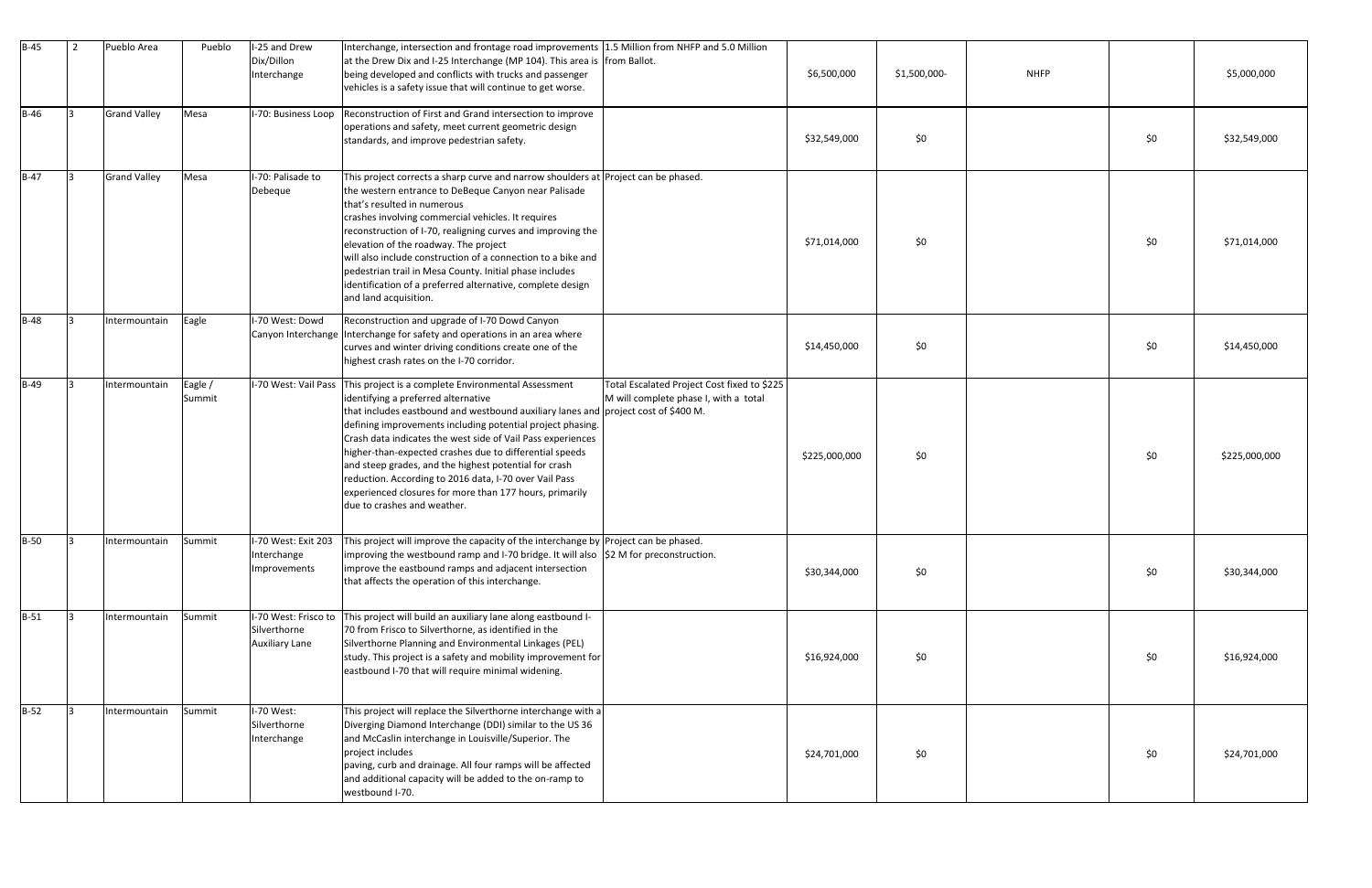| $B-45$      | $\overline{2}$ | Pueblo Area         | Pueblo            | I-25 and Drew<br>Dix/Dillon<br>Interchange                    | Interchange, intersection and frontage road improvements 1.5 Million from NHFP and 5.0 Million<br>at the Drew Dix and I-25 Interchange (MP 104). This area is from Ballot.<br>being developed and conflicts with trucks and passenger<br>vehicles is a safety issue that will continue to get worse.                                                                                                                                                                                                                                                                                  |                                                                                      | \$6,500,000   | <b>NHFP</b><br>\$1,500,000- |       | \$5,000,000   |
|-------------|----------------|---------------------|-------------------|---------------------------------------------------------------|---------------------------------------------------------------------------------------------------------------------------------------------------------------------------------------------------------------------------------------------------------------------------------------------------------------------------------------------------------------------------------------------------------------------------------------------------------------------------------------------------------------------------------------------------------------------------------------|--------------------------------------------------------------------------------------|---------------|-----------------------------|-------|---------------|
| $B-46$      | $\mathsf{R}$   | <b>Grand Valley</b> | Mesa              | I-70: Business Loop                                           | Reconstruction of First and Grand intersection to improve<br>operations and safety, meet current geometric design<br>standards, and improve pedestrian safety.                                                                                                                                                                                                                                                                                                                                                                                                                        |                                                                                      | \$32,549,000  | \$0                         | \$0   | \$32,549,000  |
| $B-47$      |                | <b>Grand Valley</b> | Mesa              | I-70: Palisade to<br>Debeque                                  | This project corrects a sharp curve and narrow shoulders at Project can be phased.<br>the western entrance to DeBeque Canyon near Palisade<br>that's resulted in numerous<br>crashes involving commercial vehicles. It requires<br>reconstruction of I-70, realigning curves and improving the<br>elevation of the roadway. The project<br>will also include construction of a connection to a bike and<br>pedestrian trail in Mesa County. Initial phase includes<br>identification of a preferred alternative, complete design<br>and land acquisition.                             |                                                                                      | \$71,014,000  | \$0                         | \$0   | \$71,014,000  |
| $B-48$      |                | Intermountain       | Eagle             | I-70 West: Dowd                                               | Reconstruction and upgrade of I-70 Dowd Canyon<br>Canyon Interchange Interchange for safety and operations in an area where<br>curves and winter driving conditions create one of the<br>highest crash rates on the I-70 corridor.                                                                                                                                                                                                                                                                                                                                                    |                                                                                      | \$14,450,000  | \$0                         | \$0   | \$14,450,000  |
| $B-49$      |                | Intermountain       | Eagle /<br>Summit | I-70 West: Vail Pass                                          | This project is a complete Environmental Assessment<br>identifying a preferred alternative<br>that includes eastbound and westbound auxiliary lanes and project cost of \$400 M.<br>defining improvements including potential project phasing.<br>Crash data indicates the west side of Vail Pass experiences<br>higher-than-expected crashes due to differential speeds<br>and steep grades, and the highest potential for crash<br>reduction. According to 2016 data, I-70 over Vail Pass<br>experienced closures for more than 177 hours, primarily<br>due to crashes and weather. | Total Escalated Project Cost fixed to \$225<br>M will complete phase I, with a total | \$225,000,000 | \$0                         | \$0\$ | \$225,000,000 |
| <b>B-50</b> | $\overline{3}$ | Intermountain       | Summit            | Interchange<br>Improvements                                   | I-70 West: Exit 203   This project will improve the capacity of the interchange by Project can be phased.<br>improving the westbound ramp and I-70 bridge. It will also $\left  \xi \right $ M for preconstruction.<br>improve the eastbound ramps and adjacent intersection<br>that affects the operation of this interchange.                                                                                                                                                                                                                                                       |                                                                                      | \$30,344,000  | \$0                         | \$0   | \$30,344,000  |
| $B-51$      | 13.            | Intermountain       | Summit            | I-70 West: Frisco to<br>Silverthorne<br><b>Auxiliary Lane</b> | This project will build an auxiliary lane along eastbound I-<br>70 from Frisco to Silverthorne, as identified in the<br>Silverthorne Planning and Environmental Linkages (PEL)<br>study. This project is a safety and mobility improvement for<br>eastbound I-70 that will require minimal widening.                                                                                                                                                                                                                                                                                  |                                                                                      | \$16,924,000  | \$0                         | \$0   | \$16,924,000  |
| $B-52$      | lЗ.            | Intermountain       | Summit            | I-70 West:<br>Silverthorne<br>Interchange                     | This project will replace the Silverthorne interchange with a<br>Diverging Diamond Interchange (DDI) similar to the US 36<br>and McCaslin interchange in Louisville/Superior. The<br>project includes<br>paving, curb and drainage. All four ramps will be affected<br>and additional capacity will be added to the on-ramp to<br>westbound I-70.                                                                                                                                                                                                                                     |                                                                                      | \$24,701,000  | \$0                         | \$0   | \$24,701,000  |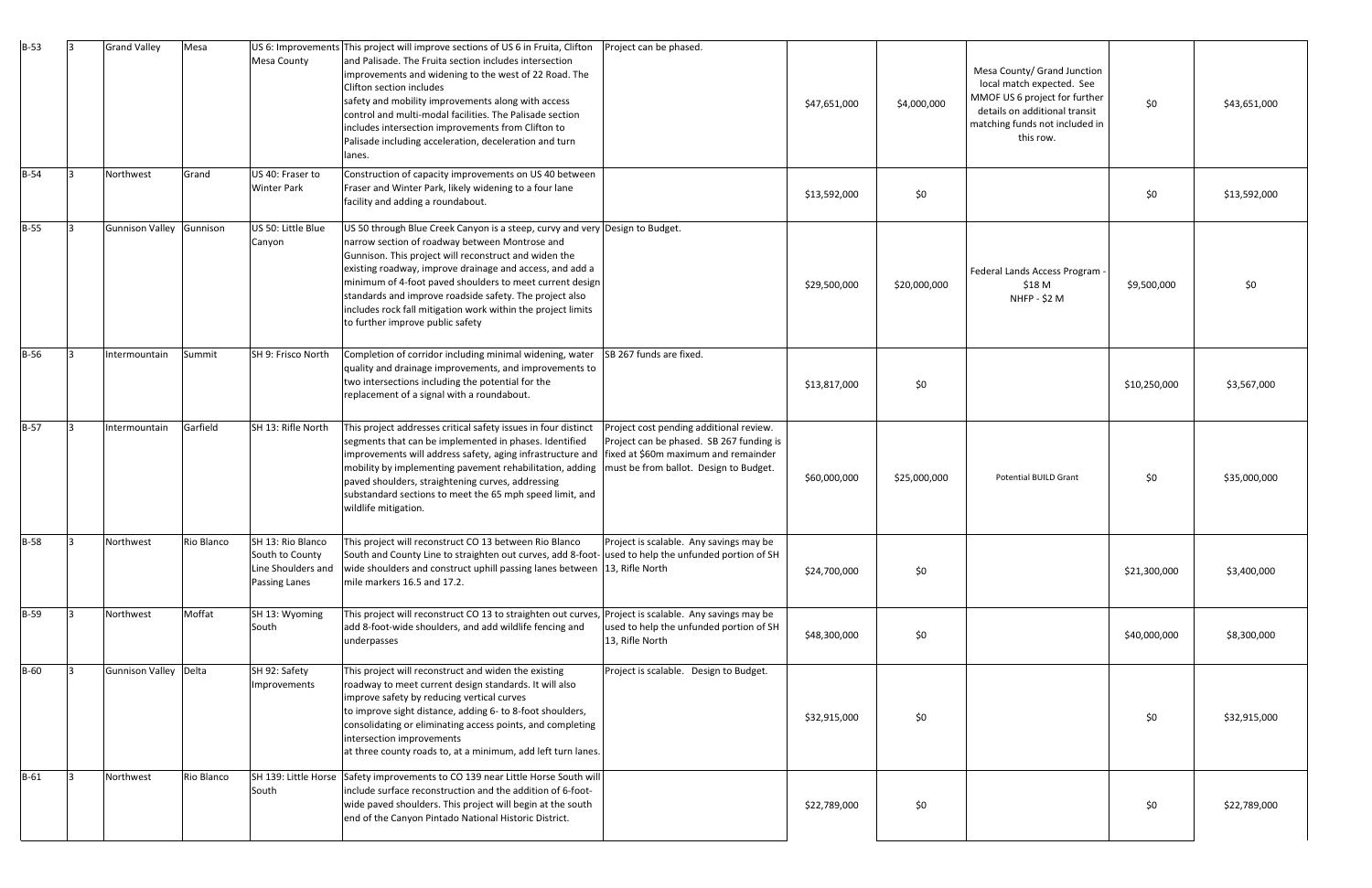| $B-53$      | 13  | <b>Grand Valley</b>      | Mesa       | <b>Mesa County</b>                                                          | US 6: Improvements This project will improve sections of US 6 in Fruita, Clifton<br>and Palisade. The Fruita section includes intersection<br>improvements and widening to the west of 22 Road. The<br>Clifton section includes<br>safety and mobility improvements along with access<br>control and multi-modal facilities. The Palisade section<br>includes intersection improvements from Clifton to<br>Palisade including acceleration, deceleration and turn<br>llanes.   | Project can be phased.                                                                                                        | \$47,651,000 | \$4,000,000  | Mesa County/ Grand Junction<br>local match expected. See<br>MMOF US 6 project for further<br>details on additional transit<br>matching funds not included in<br>this row. | \$0          | \$43,651,000 |
|-------------|-----|--------------------------|------------|-----------------------------------------------------------------------------|--------------------------------------------------------------------------------------------------------------------------------------------------------------------------------------------------------------------------------------------------------------------------------------------------------------------------------------------------------------------------------------------------------------------------------------------------------------------------------|-------------------------------------------------------------------------------------------------------------------------------|--------------|--------------|---------------------------------------------------------------------------------------------------------------------------------------------------------------------------|--------------|--------------|
| $B-54$      |     | Northwest                | Grand      | US 40: Fraser to<br><b>Winter Park</b>                                      | Construction of capacity improvements on US 40 between<br>Fraser and Winter Park, likely widening to a four lane<br>facility and adding a roundabout.                                                                                                                                                                                                                                                                                                                          |                                                                                                                               | \$13,592,000 | \$0          |                                                                                                                                                                           | \$0          | \$13,592,000 |
| $B-55$      |     | Gunnison Valley Gunnison |            | US 50: Little Blue<br>Canyon                                                | US 50 through Blue Creek Canyon is a steep, curvy and very Design to Budget.<br>narrow section of roadway between Montrose and<br>Gunnison. This project will reconstruct and widen the<br>existing roadway, improve drainage and access, and add a<br>minimum of 4-foot paved shoulders to meet current design<br>standards and improve roadside safety. The project also<br>includes rock fall mitigation work within the project limits<br>to further improve public safety |                                                                                                                               | \$29,500,000 | \$20,000,000 | Federal Lands Access Program<br>\$18 M<br>NHFP - \$2 M                                                                                                                    | \$9,500,000  | \$0          |
| <b>B-56</b> |     | Intermountain            | Summit     | SH 9: Frisco North                                                          | Completion of corridor including minimal widening, water $\left  \text{SB } 267 \text{ funds are fixed.} \right $<br>quality and drainage improvements, and improvements to<br>two intersections including the potential for the<br>replacement of a signal with a roundabout.                                                                                                                                                                                                 |                                                                                                                               | \$13,817,000 | \$0          |                                                                                                                                                                           | \$10,250,000 | \$3,567,000  |
| $B-57$      | I٩  | Intermountain            | Garfield   | SH 13: Rifle North                                                          | This project addresses critical safety issues in four distinct<br>segments that can be implemented in phases. Identified<br>improvements will address safety, aging infrastructure and   fixed at \$60m maximum and remainder<br>mobility by implementing pavement rehabilitation, adding<br>paved shoulders, straightening curves, addressing<br>substandard sections to meet the 65 mph speed limit, and<br>wildlife mitigation.                                             | Project cost pending additional review.<br>Project can be phased. SB 267 funding is<br>must be from ballot. Design to Budget. | \$60,000,000 | \$25,000,000 | <b>Potential BUILD Grant</b>                                                                                                                                              | \$0          | \$35,000,000 |
| $B-58$      | l3. | Northwest                | Rio Blanco | SH 13: Rio Blanco<br>South to County<br>Line Shoulders and<br>Passing Lanes | This project will reconstruct CO 13 between Rio Blanco Project is scalable. Any savings may be<br>South and County Line to straighten out curves, add 8-foot- used to help the unfunded portion of SH<br>wide shoulders and construct uphill passing lanes between 13, Rifle North<br>mile markers 16.5 and 17.2.                                                                                                                                                              |                                                                                                                               | \$24,700,000 | \$0          |                                                                                                                                                                           | \$21,300,000 | \$3,400,000  |
| $B-59$      |     | Northwest                | Moffat     | SH 13: Wyoming<br>South                                                     | This project will reconstruct CO 13 to straighten out curves, Project is scalable. Any savings may be<br>add 8-foot-wide shoulders, and add wildlife fencing and<br>underpasses                                                                                                                                                                                                                                                                                                | used to help the unfunded portion of SH<br>13, Rifle North                                                                    | \$48,300,000 | \$0          |                                                                                                                                                                           | \$40,000,000 | \$8,300,000  |
| <b>B-60</b> |     | Gunnison Valley Delta    |            | SH 92: Safety<br>Improvements                                               | This project will reconstruct and widen the existing<br>roadway to meet current design standards. It will also<br>improve safety by reducing vertical curves<br>to improve sight distance, adding 6- to 8-foot shoulders,<br>consolidating or eliminating access points, and completing<br>intersection improvements<br>at three county roads to, at a minimum, add left turn lanes.                                                                                           | Project is scalable. Design to Budget.                                                                                        | \$32,915,000 | \$0          |                                                                                                                                                                           | \$0          | \$32,915,000 |
| $B-61$      | 13  | Northwest                | Rio Blanco | South                                                                       | SH 139: Little Horse Safety improvements to CO 139 near Little Horse South will<br>include surface reconstruction and the addition of 6-foot-<br>wide paved shoulders. This project will begin at the south<br>end of the Canyon Pintado National Historic District.                                                                                                                                                                                                           |                                                                                                                               | \$22,789,000 | \$0          |                                                                                                                                                                           | \$0          | \$22,789,000 |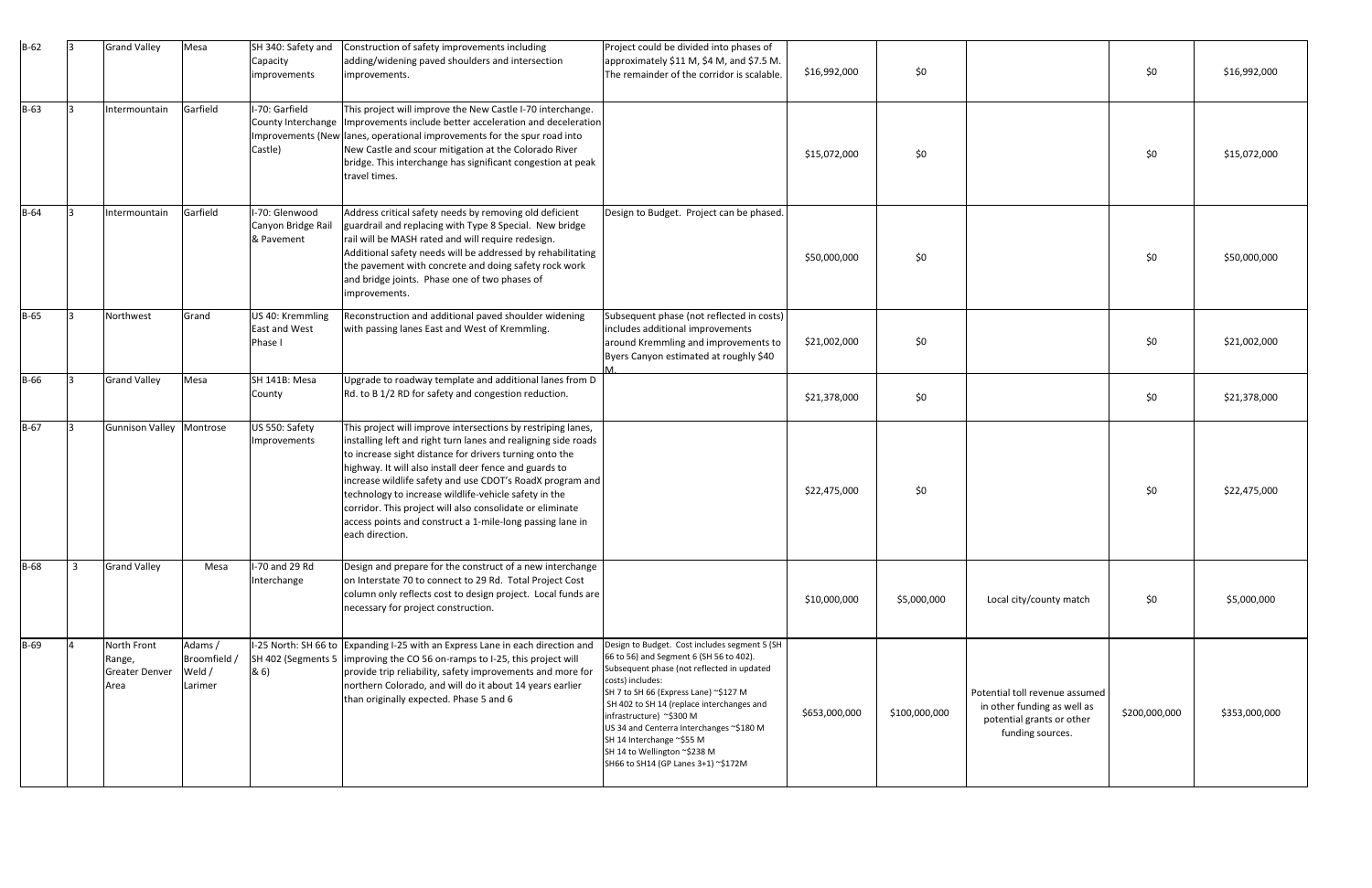| $B-62$      |                | <b>Grand Valley</b>                                    | Mesa                                         | SH 340: Safety and<br>Capacity<br>improvements     | Construction of safety improvements including<br>adding/widening paved shoulders and intersection<br>improvements.                                                                                                                                                                                                                                                                                                                                                                                                     | Project could be divided into phases of<br>approximately \$11 M, \$4 M, and \$7.5 M.<br>The remainder of the corridor is scalable.                                                                                                                                                                                                                                                                                           | \$16,992,000  | \$0           |                                                                                                                | \$0           | \$16,992,000  |
|-------------|----------------|--------------------------------------------------------|----------------------------------------------|----------------------------------------------------|------------------------------------------------------------------------------------------------------------------------------------------------------------------------------------------------------------------------------------------------------------------------------------------------------------------------------------------------------------------------------------------------------------------------------------------------------------------------------------------------------------------------|------------------------------------------------------------------------------------------------------------------------------------------------------------------------------------------------------------------------------------------------------------------------------------------------------------------------------------------------------------------------------------------------------------------------------|---------------|---------------|----------------------------------------------------------------------------------------------------------------|---------------|---------------|
| $B-63$      | <u>ا ج</u>     | Intermountain                                          | Garfield                                     | I-70: Garfield<br>Castle)                          | This project will improve the New Castle I-70 interchange.<br>County Interchange   Improvements include better acceleration and deceleration<br>Improvements (New lanes, operational improvements for the spur road into<br>New Castle and scour mitigation at the Colorado River<br>bridge. This interchange has significant congestion at peak<br>travel times.                                                                                                                                                      |                                                                                                                                                                                                                                                                                                                                                                                                                              | \$15,072,000  | \$0           |                                                                                                                | \$0           | \$15,072,000  |
| $B-64$      | l3             | Intermountain                                          | Garfield                                     | I-70: Glenwood<br>Canyon Bridge Rail<br>& Pavement | Address critical safety needs by removing old deficient<br>guardrail and replacing with Type 8 Special. New bridge<br>rail will be MASH rated and will require redesign.<br>Additional safety needs will be addressed by rehabilitating<br>the pavement with concrete and doing safety rock work<br>and bridge joints. Phase one of two phases of<br>improvements.                                                                                                                                                     | Design to Budget. Project can be phased.                                                                                                                                                                                                                                                                                                                                                                                     | \$50,000,000  | \$0           |                                                                                                                | \$0           | \$50,000,000  |
| $B-65$      |                | Northwest                                              | Grand                                        | US 40: Kremmling<br>East and West<br>Phase I       | Reconstruction and additional paved shoulder widening<br>with passing lanes East and West of Kremmling.                                                                                                                                                                                                                                                                                                                                                                                                                | Subsequent phase (not reflected in costs)<br>includes additional improvements<br>around Kremmling and improvements to<br>Byers Canyon estimated at roughly \$40                                                                                                                                                                                                                                                              | \$21,002,000  | \$0           |                                                                                                                | \$0           | \$21,002,000  |
| <b>B-66</b> | l3             | <b>Grand Valley</b>                                    | Mesa                                         | SH 141B: Mesa<br>County                            | Upgrade to roadway template and additional lanes from D<br>Rd. to B 1/2 RD for safety and congestion reduction.                                                                                                                                                                                                                                                                                                                                                                                                        |                                                                                                                                                                                                                                                                                                                                                                                                                              | \$21,378,000  | \$0           |                                                                                                                | \$0           | \$21,378,000  |
| $B-67$      |                | Gunnison Valley Montrose                               |                                              | US 550: Safety<br>Improvements                     | This project will improve intersections by restriping lanes,<br>installing left and right turn lanes and realigning side roads<br>to increase sight distance for drivers turning onto the<br>highway. It will also install deer fence and guards to<br>increase wildlife safety and use CDOT's RoadX program and<br>technology to increase wildlife-vehicle safety in the<br>corridor. This project will also consolidate or eliminate<br>access points and construct a 1-mile-long passing lane in<br>each direction. |                                                                                                                                                                                                                                                                                                                                                                                                                              | \$22,475,000  | \$0           |                                                                                                                | \$0           | \$22,475,000  |
| <b>B-68</b> | $\overline{3}$ | <b>Grand Valley</b>                                    | Mesa                                         | I-70 and 29 Rd<br>Interchange                      | Design and prepare for the construct of a new interchange<br>on Interstate 70 to connect to 29 Rd. Total Project Cost<br>column only reflects cost to design project. Local funds are<br>necessary for project construction.                                                                                                                                                                                                                                                                                           |                                                                                                                                                                                                                                                                                                                                                                                                                              | \$10,000,000  | \$5,000,000   | Local city/county match                                                                                        | \$0           | \$5,000,000   |
| $B-69$      |                | North Front<br>Range,<br><b>Greater Denver</b><br>Area | Adams /<br>Broomfield /<br>Weld /<br>Larimer | 8(6)                                               | I-25 North: SH 66 to Expanding I-25 with an Express Lane in each direction and<br>SH 402 (Segments 5   improving the CO 56 on-ramps to I-25, this project will<br>provide trip reliability, safety improvements and more for<br>northern Colorado, and will do it about 14 years earlier<br>than originally expected. Phase 5 and 6                                                                                                                                                                                    | Design to Budget. Cost includes segment 5 (SH<br>66 to 56) and Segment 6 (SH 56 to 402).<br>Subsequent phase (not reflected in updated<br>costs) includes:<br>SH 7 to SH 66 (Express Lane) ~\$127 M<br>SH 402 to SH 14 (replace interchanges and<br>infrastructure) ~\$300 M<br>US 34 and Centerra Interchanges ~\$180 M<br>SH 14 Interchange ~\$55 M<br>SH 14 to Wellington ~\$238 M<br>SH66 to SH14 (GP Lanes 3+1) ~\$172M | \$653,000,000 | \$100,000,000 | Potential toll revenue assumed<br>in other funding as well as<br>potential grants or other<br>funding sources. | \$200,000,000 | \$353,000,000 |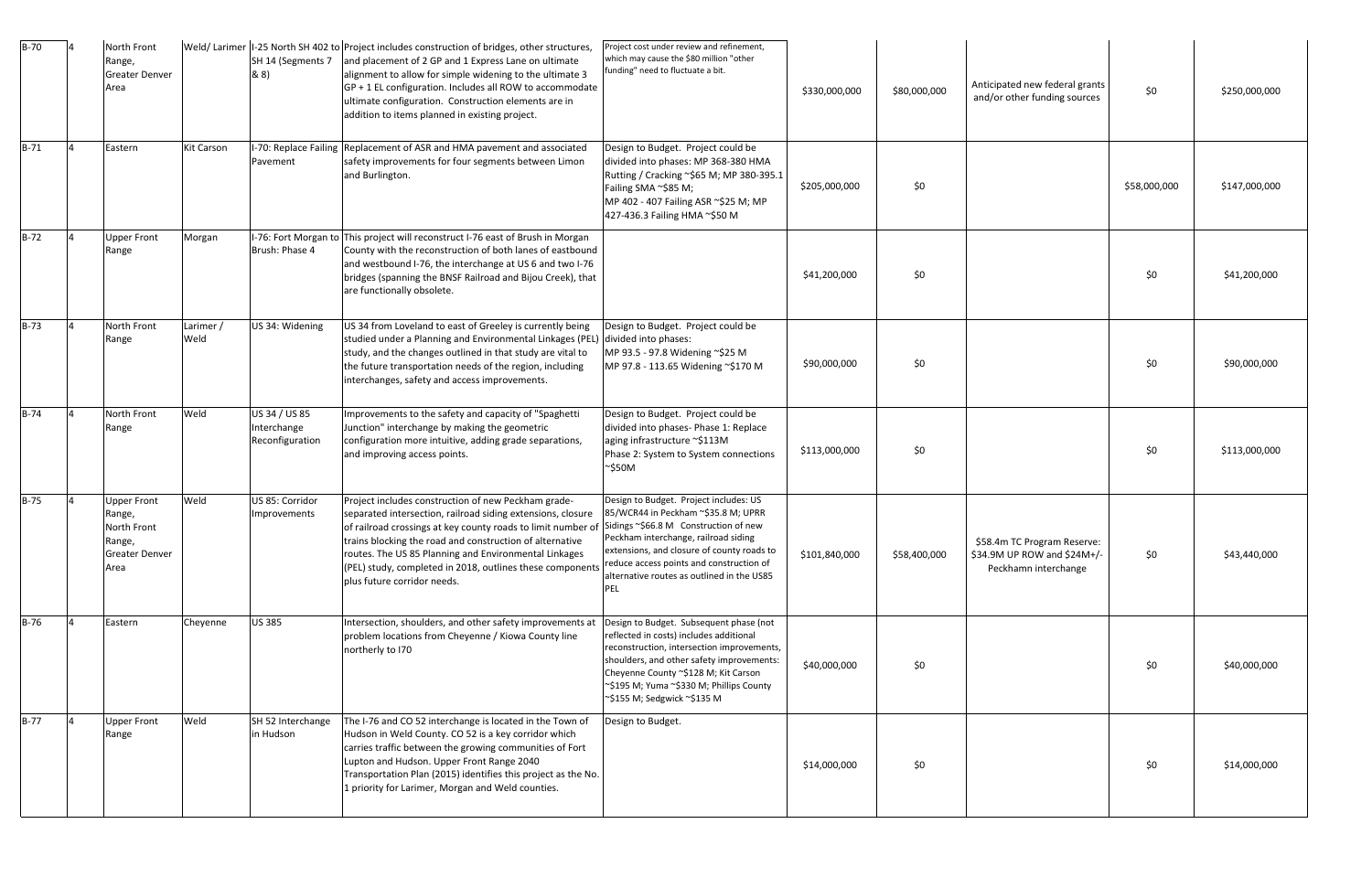| $B-70$ | North Front<br>Range,<br><b>Greater Denver</b><br>Area                                 |                   | SH 14 (Segments 7<br>8(8)                       | Weld/Larimer   I-25 North SH 402 to   Project includes construction of bridges, other structures,<br>and placement of 2 GP and 1 Express Lane on ultimate<br>alignment to allow for simple widening to the ultimate 3<br>$GP + 1$ EL configuration. Includes all ROW to accommodate<br>ultimate configuration. Construction elements are in<br>addition to items planned in existing project.       | Project cost under review and refinement,<br>which may cause the \$80 million "other<br>funding" need to fluctuate a bit.                                                                                                                                                                                     | \$330,000,000 | \$80,000,000 | Anticipated new federal grants<br>and/or other funding sources                     | \$0          | \$250,000,000 |
|--------|----------------------------------------------------------------------------------------|-------------------|-------------------------------------------------|-----------------------------------------------------------------------------------------------------------------------------------------------------------------------------------------------------------------------------------------------------------------------------------------------------------------------------------------------------------------------------------------------------|---------------------------------------------------------------------------------------------------------------------------------------------------------------------------------------------------------------------------------------------------------------------------------------------------------------|---------------|--------------|------------------------------------------------------------------------------------|--------------|---------------|
| $B-71$ | Eastern                                                                                | <b>Kit Carson</b> | Pavement                                        | -70: Replace Failing Replacement of ASR and HMA pavement and associated<br>safety improvements for four segments between Limon<br>and Burlington.                                                                                                                                                                                                                                                   | Design to Budget. Project could be<br>divided into phases: MP 368-380 HMA<br>Rutting / Cracking ~\$65 M; MP 380-395.1<br>Failing SMA ~\$85 M;<br>MP 402 - 407 Failing ASR ~\$25 M; MP<br>427-436.3 Failing HMA ~\$50 M                                                                                        | \$205,000,000 | \$0          |                                                                                    | \$58,000,000 | \$147,000,000 |
| $B-72$ | <b>Upper Front</b><br>Range                                                            | Morgan            | Brush: Phase 4                                  | I-76: Fort Morgan to This project will reconstruct I-76 east of Brush in Morgan<br>County with the reconstruction of both lanes of eastbound<br>and westbound I-76, the interchange at US 6 and two I-76<br>bridges (spanning the BNSF Railroad and Bijou Creek), that<br>are functionally obsolete.                                                                                                |                                                                                                                                                                                                                                                                                                               | \$41,200,000  | \$0          |                                                                                    | \$0          | \$41,200,000  |
| $B-73$ | North Front<br>Range                                                                   | Larimer /<br>Weld | US 34: Widening                                 | US 34 from Loveland to east of Greeley is currently being<br>studied under a Planning and Environmental Linkages (PEL) divided into phases:<br>study, and the changes outlined in that study are vital to<br>the future transportation needs of the region, including<br>interchanges, safety and access improvements.                                                                              | Design to Budget. Project could be<br>MP 93.5 - 97.8 Widening ~\$25 M<br>MP 97.8 - 113.65 Widening ~\$170 M                                                                                                                                                                                                   | \$90,000,000  | \$0          |                                                                                    | \$0          | \$90,000,000  |
| $B-74$ | North Front<br>Range                                                                   | Weld              | US 34 / US 85<br>Interchange<br>Reconfiguration | Improvements to the safety and capacity of "Spaghetti<br>Junction" interchange by making the geometric<br>configuration more intuitive, adding grade separations,<br>and improving access points.                                                                                                                                                                                                   | Design to Budget. Project could be<br>divided into phases- Phase 1: Replace<br>aging infrastructure ~\$113M<br>Phase 2: System to System connections<br>$\sim$ \$50M                                                                                                                                          | \$113,000,000 | \$0          |                                                                                    | \$0          | \$113,000,000 |
| $B-75$ | <b>Upper Front</b><br>Range,<br>North Front<br>Range,<br><b>Greater Denver</b><br>Area | Weld              | US 85: Corridor<br>Improvements                 | Project includes construction of new Peckham grade-<br>separated intersection, railroad siding extensions, closure<br>of railroad crossings at key county roads to limit number of<br>trains blocking the road and construction of alternative<br>routes. The US 85 Planning and Environmental Linkages<br>(PEL) study, completed in 2018, outlines these components<br>plus future corridor needs. | Design to Budget. Project includes: US<br>85/WCR44 in Peckham ~\$35.8 M; UPRR<br>Sidings ~\$66.8 M Construction of new<br>Peckham interchange, railroad siding<br>extensions, and closure of county roads to<br>reduce access points and construction of<br>alternative routes as outlined in the US85<br>PEL | \$101,840,000 | \$58,400,000 | \$58.4m TC Program Reserve:<br>\$34.9M UP ROW and \$24M+/-<br>Peckhamn interchange | \$0          | \$43,440,000  |
| $B-76$ | Eastern                                                                                | Cheyenne          | <b>US 385</b>                                   | Intersection, shoulders, and other safety improvements at<br>problem locations from Cheyenne / Kiowa County line<br>northerly to I70                                                                                                                                                                                                                                                                | Design to Budget. Subsequent phase (not<br>reflected in costs) includes additional<br>reconstruction, intersection improvements,<br>shoulders, and other safety improvements:<br>Cheyenne County ~\$128 M; Kit Carson<br>~\$195 M; Yuma ~\$330 M; Phillips County<br>~\$155 M; Sedgwick ~\$135 M              | \$40,000,000  | \$0          |                                                                                    | \$0          | \$40,000,000  |
| $B-77$ | <b>Upper Front</b><br>Range                                                            | Weld              | SH 52 Interchange<br>in Hudson                  | The I-76 and CO 52 interchange is located in the Town of<br>Hudson in Weld County. CO 52 is a key corridor which<br>carries traffic between the growing communities of Fort<br>Lupton and Hudson. Upper Front Range 2040<br>Transportation Plan (2015) identifies this project as the No.<br>1 priority for Larimer, Morgan and Weld counties.                                                      | Design to Budget.                                                                                                                                                                                                                                                                                             | \$14,000,000  | \$0          |                                                                                    | \$0          | \$14,000,000  |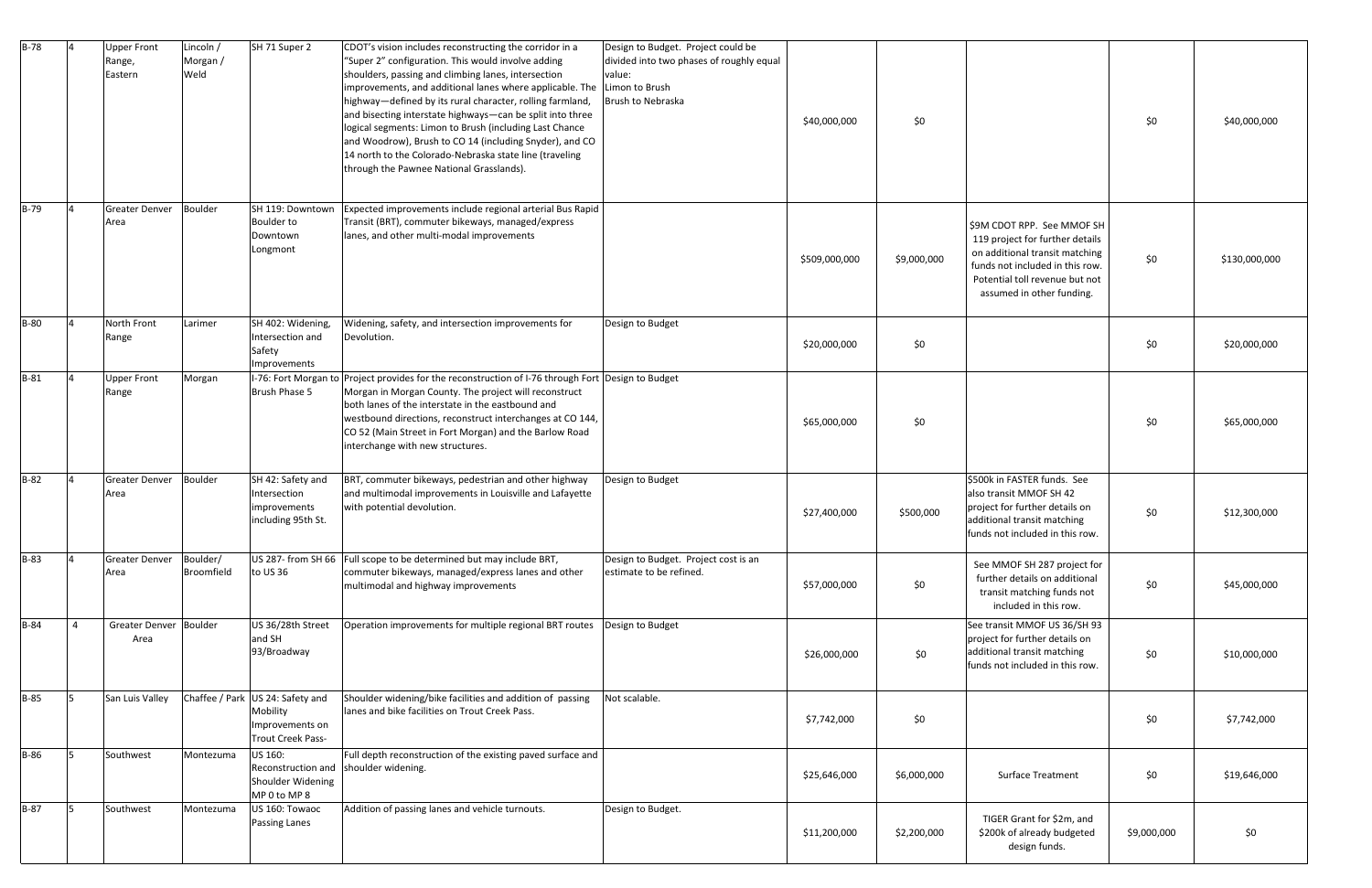| $B-78$      |                | Upper Front<br>Range,<br>Eastern | Lincoln /<br>Morgan /<br>Weld | $\overline{\mathsf{SH}}$ 71 Super 2                                                         | CDOT's vision includes reconstructing the corridor in a<br>"Super 2" configuration. This would involve adding<br>shoulders, passing and climbing lanes, intersection<br>improvements, and additional lanes where applicable. The Limon to Brush<br>highway-defined by its rural character, rolling farmland,<br>and bisecting interstate highways-can be split into three<br>logical segments: Limon to Brush (including Last Chance<br>and Woodrow), Brush to CO 14 (including Snyder), and CO<br>14 north to the Colorado-Nebraska state line (traveling<br>through the Pawnee National Grasslands). | Design to Budget. Project could be<br>divided into two phases of roughly equal<br>value:<br>Brush to Nebraska | \$40,000,000  | \$0         |                                                                                                                                                                                                   | \$0         | \$40,000,000  |
|-------------|----------------|----------------------------------|-------------------------------|---------------------------------------------------------------------------------------------|--------------------------------------------------------------------------------------------------------------------------------------------------------------------------------------------------------------------------------------------------------------------------------------------------------------------------------------------------------------------------------------------------------------------------------------------------------------------------------------------------------------------------------------------------------------------------------------------------------|---------------------------------------------------------------------------------------------------------------|---------------|-------------|---------------------------------------------------------------------------------------------------------------------------------------------------------------------------------------------------|-------------|---------------|
| $B-79$      |                | <b>Greater Denver</b><br>Area    | Boulder                       | SH 119: Downtown<br>Boulder to<br>Downtown<br>Longmont                                      | Expected improvements include regional arterial Bus Rapid<br>Transit (BRT), commuter bikeways, managed/express<br>lanes, and other multi-modal improvements                                                                                                                                                                                                                                                                                                                                                                                                                                            |                                                                                                               | \$509,000,000 | \$9,000,000 | \$9M CDOT RPP. See MMOF SH<br>119 project for further details<br>on additional transit matching<br>funds not included in this row.<br>Potential toll revenue but not<br>assumed in other funding. | \$0         | \$130,000,000 |
| <b>B-80</b> |                | North Front<br>Range             | Larimer                       | SH 402: Widening,<br>Intersection and<br>Safety<br>Improvements                             | Widening, safety, and intersection improvements for<br>Devolution.                                                                                                                                                                                                                                                                                                                                                                                                                                                                                                                                     | Design to Budget                                                                                              | \$20,000,000  | \$0         |                                                                                                                                                                                                   | \$0         | \$20,000,000  |
| $B-81$      | $\Delta$       | <b>Upper Front</b><br>Range      | Morgan                        | Brush Phase 5                                                                               | I-76: Fort Morgan to Project provides for the reconstruction of I-76 through Fort Design to Budget<br>Morgan in Morgan County. The project will reconstruct<br>both lanes of the interstate in the eastbound and<br>westbound directions, reconstruct interchanges at CO 144,<br>CO 52 (Main Street in Fort Morgan) and the Barlow Road<br>interchange with new structures.                                                                                                                                                                                                                            |                                                                                                               | \$65,000,000  | \$0         |                                                                                                                                                                                                   | \$0         | \$65,000,000  |
| $B-82$      |                | <b>Greater Denver</b><br>Area    | <b>Boulder</b>                | SH 42: Safety and<br>Intersection<br>improvements<br>including 95th St.                     | BRT, commuter bikeways, pedestrian and other highway<br>and multimodal improvements in Louisville and Lafayette<br>with potential devolution.                                                                                                                                                                                                                                                                                                                                                                                                                                                          | Design to Budget                                                                                              | \$27,400,000  | \$500,000   | \$500k in FASTER funds. See<br>also transit MMOF SH 42<br>project for further details on<br>additional transit matching<br>funds not included in this row.                                        | \$0         | \$12,300,000  |
| $B-83$      |                | <b>Greater Denver</b><br>Area    | Boulder/<br>Broomfield        | to US 36                                                                                    | US 287- from SH 66 Full scope to be determined but may include BRT,<br>commuter bikeways, managed/express lanes and other<br>multimodal and highway improvements                                                                                                                                                                                                                                                                                                                                                                                                                                       | Design to Budget. Project cost is an<br>estimate to be refined.                                               | \$57,000,000  | \$0         | See MMOF SH 287 project for<br>further details on additional<br>transit matching funds not<br>included in this row.                                                                               | \$0         | \$45,000,000  |
| $B-84$      | $\overline{4}$ | Greater Denver Boulder<br>Area   |                               | US 36/28th Street<br>and SH<br>93/Broadway                                                  | Operation improvements for multiple regional BRT routes                                                                                                                                                                                                                                                                                                                                                                                                                                                                                                                                                | Design to Budget                                                                                              | \$26,000,000  | \$0\$       | See transit MMOF US 36/SH 93<br>project for further details on<br>additional transit matching<br>funds not included in this row.                                                                  | \$0         | \$10,000,000  |
| $B-85$      | 5              | San Luis Valley                  |                               | Chaffee / Park US 24: Safety and<br>Mobility<br>Improvements on<br><b>Trout Creek Pass-</b> | Shoulder widening/bike facilities and addition of passing<br>lanes and bike facilities on Trout Creek Pass.                                                                                                                                                                                                                                                                                                                                                                                                                                                                                            | Not scalable.                                                                                                 | \$7,742,000   | \$0         |                                                                                                                                                                                                   | \$0         | \$7,742,000   |
| $B-86$      | I5.            | Southwest                        | Montezuma                     | US 160:<br>Reconstruction and<br>Shoulder Widening<br>MP 0 to MP 8                          | Full depth reconstruction of the existing paved surface and<br>shoulder widening.                                                                                                                                                                                                                                                                                                                                                                                                                                                                                                                      |                                                                                                               | \$25,646,000  | \$6,000,000 | <b>Surface Treatment</b>                                                                                                                                                                          | \$0         | \$19,646,000  |
| $B-87$      | I5.            | Southwest                        | Montezuma                     | US 160: Towaoc<br>Passing Lanes                                                             | Addition of passing lanes and vehicle turnouts.                                                                                                                                                                                                                                                                                                                                                                                                                                                                                                                                                        | Design to Budget.                                                                                             | \$11,200,000  | \$2,200,000 | TIGER Grant for \$2m, and<br>\$200k of already budgeted<br>design funds.                                                                                                                          | \$9,000,000 | \$0           |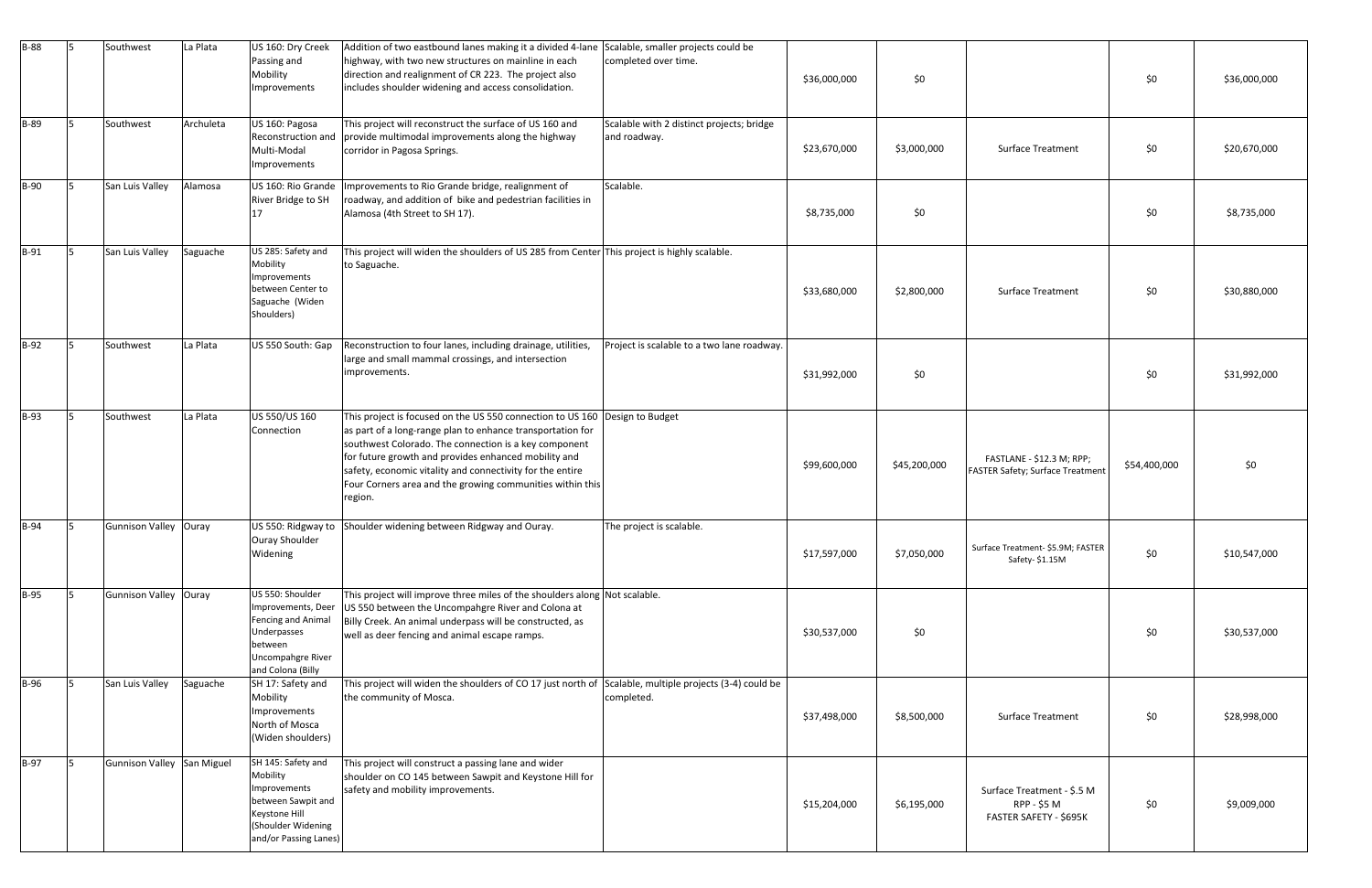| $B-88$      | 15. | Southwest                  | La Plata  | US 160: Dry Creek<br>Passing and<br>Mobility<br>Improvements                                                                         | Addition of two eastbound lanes making it a divided 4-lane Scalable, smaller projects could be<br>highway, with two new structures on mainline in each<br>direction and realignment of CR 223. The project also<br>includes shoulder widening and access consolidation.                                                                                                                         | completed over time.                                      | \$36,000,000 | \$0          |                                                                      | \$0          | \$36,000,000 |
|-------------|-----|----------------------------|-----------|--------------------------------------------------------------------------------------------------------------------------------------|-------------------------------------------------------------------------------------------------------------------------------------------------------------------------------------------------------------------------------------------------------------------------------------------------------------------------------------------------------------------------------------------------|-----------------------------------------------------------|--------------|--------------|----------------------------------------------------------------------|--------------|--------------|
| <b>B-89</b> | 15. | Southwest                  | Archuleta | US 160: Pagosa<br>Reconstruction and<br>Multi-Modal<br>Improvements                                                                  | This project will reconstruct the surface of US 160 and<br>provide multimodal improvements along the highway<br>corridor in Pagosa Springs.                                                                                                                                                                                                                                                     | Scalable with 2 distinct projects; bridge<br>and roadway. | \$23,670,000 | \$3,000,000  | <b>Surface Treatment</b>                                             | \$0          | \$20,670,000 |
| <b>B-90</b> |     | San Luis Valley            | Alamosa   | US 160: Rio Grande<br>River Bridge to SH<br>17                                                                                       | Improvements to Rio Grande bridge, realignment of<br>roadway, and addition of bike and pedestrian facilities in<br>Alamosa (4th Street to SH 17).                                                                                                                                                                                                                                               | Scalable.                                                 | \$8,735,000  | \$0          |                                                                      | \$0          | \$8,735,000  |
| $B-91$      | 15. | San Luis Valley            | Saguache  | US 285: Safety and<br>Mobility<br>Improvements<br>between Center to<br>Saguache (Widen<br>Shoulders)                                 | This project will widen the shoulders of US 285 from Center This project is highly scalable.<br>to Saguache.                                                                                                                                                                                                                                                                                    |                                                           | \$33,680,000 | \$2,800,000  | <b>Surface Treatment</b>                                             | \$0          | \$30,880,000 |
| $B-92$      | 15. | Southwest                  | La Plata  | US 550 South: Gap                                                                                                                    | Reconstruction to four lanes, including drainage, utilities,<br>large and small mammal crossings, and intersection<br>improvements.                                                                                                                                                                                                                                                             | Project is scalable to a two lane roadway.                | \$31,992,000 | \$0          |                                                                      | \$0          | \$31,992,000 |
| <b>B-93</b> |     | Southwest                  | La Plata  | US 550/US 160<br>Connection                                                                                                          | This project is focused on the US 550 connection to US 160 Design to Budget<br>as part of a long-range plan to enhance transportation for<br>southwest Colorado. The connection is a key component<br>for future growth and provides enhanced mobility and<br>safety, economic vitality and connectivity for the entire<br>Four Corners area and the growing communities within this<br>region. |                                                           | \$99,600,000 | \$45,200,000 | FASTLANE - \$12.3 M; RPP;<br><b>FASTER Safety; Surface Treatment</b> | \$54,400,000 | \$0          |
| <b>B-94</b> | 15. | Gunnison Valley Ouray      |           | Ouray Shoulder<br>Widening                                                                                                           | US 550: Ridgway to Shoulder widening between Ridgway and Ouray.                                                                                                                                                                                                                                                                                                                                 | The project is scalable.                                  | \$17,597,000 | \$7,050,000  | Surface Treatment- \$5.9M; FASTER<br>Safety-\$1.15M                  | \$0          | \$10,547,000 |
| $B-95$      | 15. | Gunnison Valley Ouray      |           | US 550: Shoulder<br>Improvements, Deer<br>Fencing and Animal<br>Underpasses<br>between<br>Uncompahgre River<br>and Colona (Billy     | This project will improve three miles of the shoulders along Not scalable.<br>US 550 between the Uncompahgre River and Colona at<br>Billy Creek. An animal underpass will be constructed, as<br>well as deer fencing and animal escape ramps.                                                                                                                                                   |                                                           | \$30,537,000 | \$0          |                                                                      | \$0          | \$30,537,000 |
| <b>B-96</b> |     | San Luis Valley            | Saguache  | SH 17: Safety and<br>Mobility<br>Improvements<br>North of Mosca<br>(Widen shoulders)                                                 | This project will widen the shoulders of CO 17 just north of Scalable, multiple projects (3-4) could be<br>the community of Mosca.                                                                                                                                                                                                                                                              | completed.                                                | \$37,498,000 | \$8,500,000  | <b>Surface Treatment</b>                                             | \$0          | \$28,998,000 |
| <b>B-97</b> | 15. | Gunnison Valley San Miguel |           | SH 145: Safety and<br>Mobility<br>Improvements<br>between Sawpit and<br>Keystone Hill<br>(Shoulder Widening<br>and/or Passing Lanes) | This project will construct a passing lane and wider<br>shoulder on CO 145 between Sawpit and Keystone Hill for<br>safety and mobility improvements.                                                                                                                                                                                                                                            |                                                           | \$15,204,000 | \$6,195,000  | Surface Treatment - \$.5 M<br>RPP - \$5 M<br>FASTER SAFETY - \$695K  | \$0          | \$9,009,000  |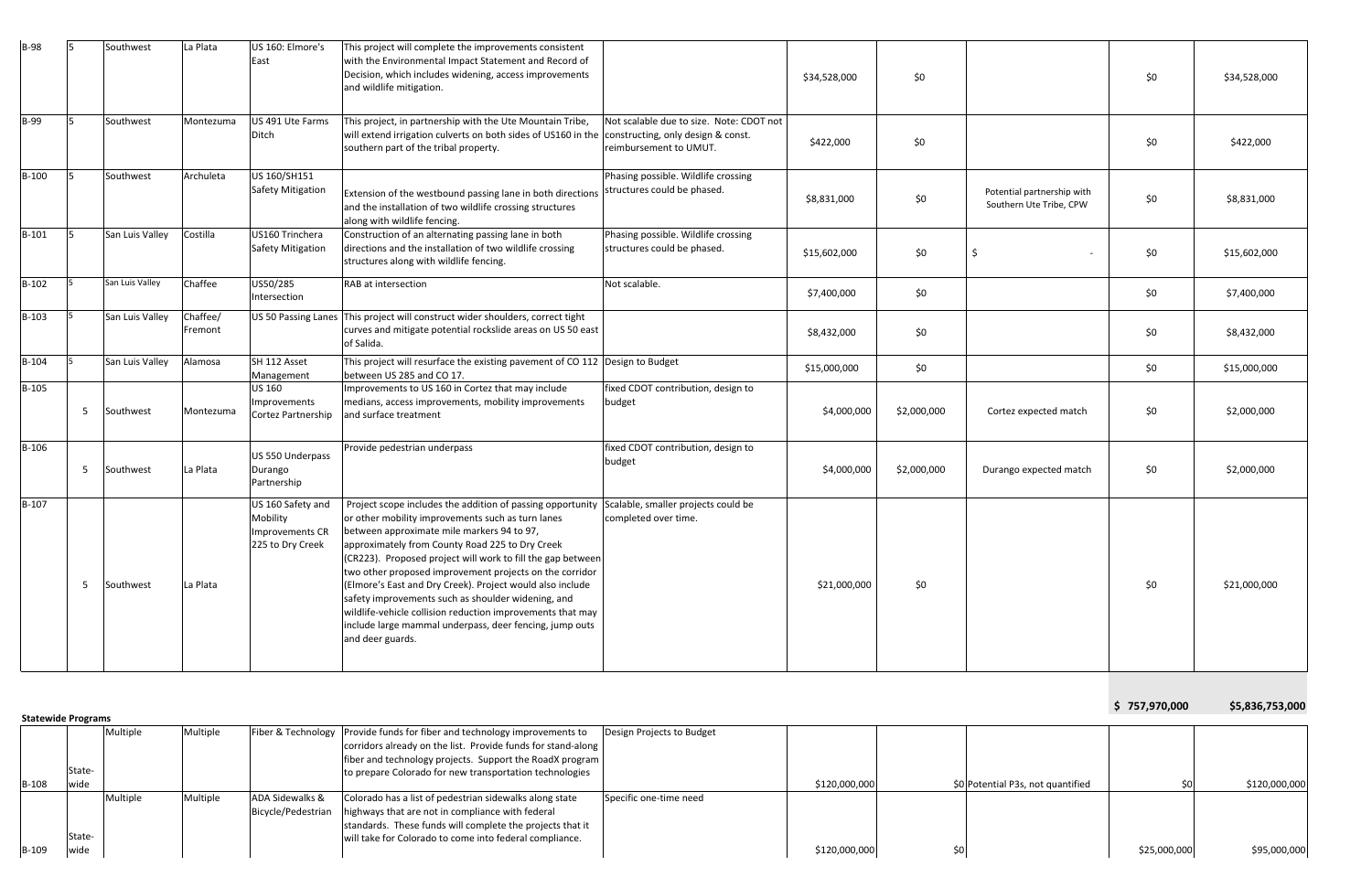| <b>B-98</b>               |    | Southwest       | La Plata            | US 160: Elmore's<br>East                                             | This project will complete the improvements consistent<br>with the Environmental Impact Statement and Record of<br>Decision, which includes widening, access improvements<br>and wildlife mitigation.                                                                                                                                                                                                                                                                                                                                                                                                                                          |                                                                    | \$34,528,000 | \$0         |                                                       | \$0           | \$34,528,000    |
|---------------------------|----|-----------------|---------------------|----------------------------------------------------------------------|------------------------------------------------------------------------------------------------------------------------------------------------------------------------------------------------------------------------------------------------------------------------------------------------------------------------------------------------------------------------------------------------------------------------------------------------------------------------------------------------------------------------------------------------------------------------------------------------------------------------------------------------|--------------------------------------------------------------------|--------------|-------------|-------------------------------------------------------|---------------|-----------------|
| B-99                      | 5  | Southwest       | Montezuma           | US 491 Ute Farms<br>Ditch                                            | This project, in partnership with the Ute Mountain Tribe,<br>will extend irrigation culverts on both sides of US160 in the constructing, only design & const.<br>southern part of the tribal property.                                                                                                                                                                                                                                                                                                                                                                                                                                         | Not scalable due to size. Note: CDOT not<br>reimbursement to UMUT. | \$422,000    | \$0         |                                                       | \$0           | \$422,000       |
| $B-100$                   |    | Southwest       | Archuleta           | US 160/SH151<br><b>Safety Mitigation</b>                             | Extension of the westbound passing lane in both directions<br>and the installation of two wildlife crossing structures<br>along with wildlife fencing.                                                                                                                                                                                                                                                                                                                                                                                                                                                                                         | Phasing possible. Wildlife crossing<br>structures could be phased. | \$8,831,000  | \$0         | Potential partnership with<br>Southern Ute Tribe, CPW | \$0           | \$8,831,000     |
| $B-101$                   | 5  | San Luis Valley | Costilla            | US160 Trinchera<br><b>Safety Mitigation</b>                          | Construction of an alternating passing lane in both<br>directions and the installation of two wildlife crossing<br>structures along with wildlife fencing.                                                                                                                                                                                                                                                                                                                                                                                                                                                                                     | Phasing possible. Wildlife crossing<br>structures could be phased. | \$15,602,000 | \$0         | Ś                                                     | \$0           | \$15,602,000    |
| $B-102$                   |    | San Luis Valley | Chaffee             | US50/285<br>Intersection                                             | RAB at intersection                                                                                                                                                                                                                                                                                                                                                                                                                                                                                                                                                                                                                            | Not scalable.                                                      | \$7,400,000  | \$0         |                                                       | \$0           | \$7,400,000     |
| $B-103$                   |    | San Luis Valley | Chaffee/<br>Fremont |                                                                      | US 50 Passing Lanes This project will construct wider shoulders, correct tight<br>curves and mitigate potential rockslide areas on US 50 east<br>of Salida.                                                                                                                                                                                                                                                                                                                                                                                                                                                                                    |                                                                    | \$8,432,000  | \$0         |                                                       | \$0           | \$8,432,000     |
| $B-104$                   |    | San Luis Valley | Alamosa             | SH 112 Asset<br>Management                                           | This project will resurface the existing pavement of CO 112 Design to Budget<br>between US 285 and CO 17.                                                                                                                                                                                                                                                                                                                                                                                                                                                                                                                                      |                                                                    | \$15,000,000 | \$0         |                                                       | \$0           | \$15,000,000    |
| $B-105$                   | 5  | Southwest       | Montezuma           | <b>US 160</b><br>Improvements<br>Cortez Partnership                  | Improvements to US 160 in Cortez that may include<br>medians, access improvements, mobility improvements<br>and surface treatment                                                                                                                                                                                                                                                                                                                                                                                                                                                                                                              | fixed CDOT contribution, design to<br>budget                       | \$4,000,000  | \$2,000,000 | Cortez expected match                                 | \$0           | \$2,000,000     |
| B-106                     | 5  | Southwest       | La Plata            | US 550 Underpass<br>Durango<br>Partnership                           | Provide pedestrian underpass                                                                                                                                                                                                                                                                                                                                                                                                                                                                                                                                                                                                                   | fixed CDOT contribution, design to<br>budget                       | \$4,000,000  | \$2,000,000 | Durango expected match                                | \$0           | \$2,000,000     |
| $B-107$                   | -5 | Southwest       | La Plata            | US 160 Safety and<br>Mobility<br>Improvements CR<br>225 to Dry Creek | Project scope includes the addition of passing opportunity Scalable, smaller projects could be<br>or other mobility improvements such as turn lanes<br>between approximate mile markers 94 to 97,<br>approximately from County Road 225 to Dry Creek<br>(CR223). Proposed project will work to fill the gap between<br>two other proposed improvement projects on the corridor<br>(Elmore's East and Dry Creek). Project would also include<br>safety improvements such as shoulder widening, and<br>wildlife-vehicle collision reduction improvements that may<br>include large mammal underpass, deer fencing, jump outs<br>and deer guards. | completed over time.                                               | \$21,000,000 | \$0         |                                                       | \$0           | \$21,000,000    |
| <b>Statewide Programs</b> |    |                 |                     |                                                                      |                                                                                                                                                                                                                                                                                                                                                                                                                                                                                                                                                                                                                                                |                                                                    |              |             |                                                       | \$757,970,000 | \$5,836,753,000 |
|                           |    | Multiple        | Multiple            |                                                                      | Fiber & Technology   Provide funds for fiber and technology improvements to<br>corridors already on the list. Provide funds for stand-along                                                                                                                                                                                                                                                                                                                                                                                                                                                                                                    | Design Projects to Budget                                          |              |             |                                                       |               |                 |

|              |        | Multiple | Multiple |                            | Fiber & Technology Provide funds for fiber and technology improvements to | Design Projects to Budget |               |                                   |              |               |
|--------------|--------|----------|----------|----------------------------|---------------------------------------------------------------------------|---------------------------|---------------|-----------------------------------|--------------|---------------|
|              |        |          |          |                            | corridors already on the list. Provide funds for stand-along              |                           |               |                                   |              |               |
|              |        |          |          |                            | fiber and technology projects. Support the RoadX program                  |                           |               |                                   |              |               |
|              |        |          |          |                            |                                                                           |                           |               |                                   |              |               |
|              | State- |          |          |                            | to prepare Colorado for new transportation technologies                   |                           |               |                                   |              |               |
| <b>B-108</b> | wide   |          |          |                            |                                                                           |                           | \$120,000,000 | \$0 Potential P3s, not quantified |              | \$120,000,000 |
|              |        | Multiple | Multiple | <b>ADA Sidewalks &amp;</b> | Colorado has a list of pedestrian sidewalks along state                   | Specific one-time need    |               |                                   |              |               |
|              |        |          |          |                            | Bicycle/Pedestrian   highways that are not in compliance with federal     |                           |               |                                   |              |               |
|              |        |          |          |                            | standards. These funds will complete the projects that it                 |                           |               |                                   |              |               |
|              | State- |          |          |                            | will take for Colorado to come into federal compliance.                   |                           |               |                                   |              |               |
| B-109        | wide   |          |          |                            |                                                                           |                           | \$120,000,000 |                                   | \$25,000,000 | \$95,000,000  |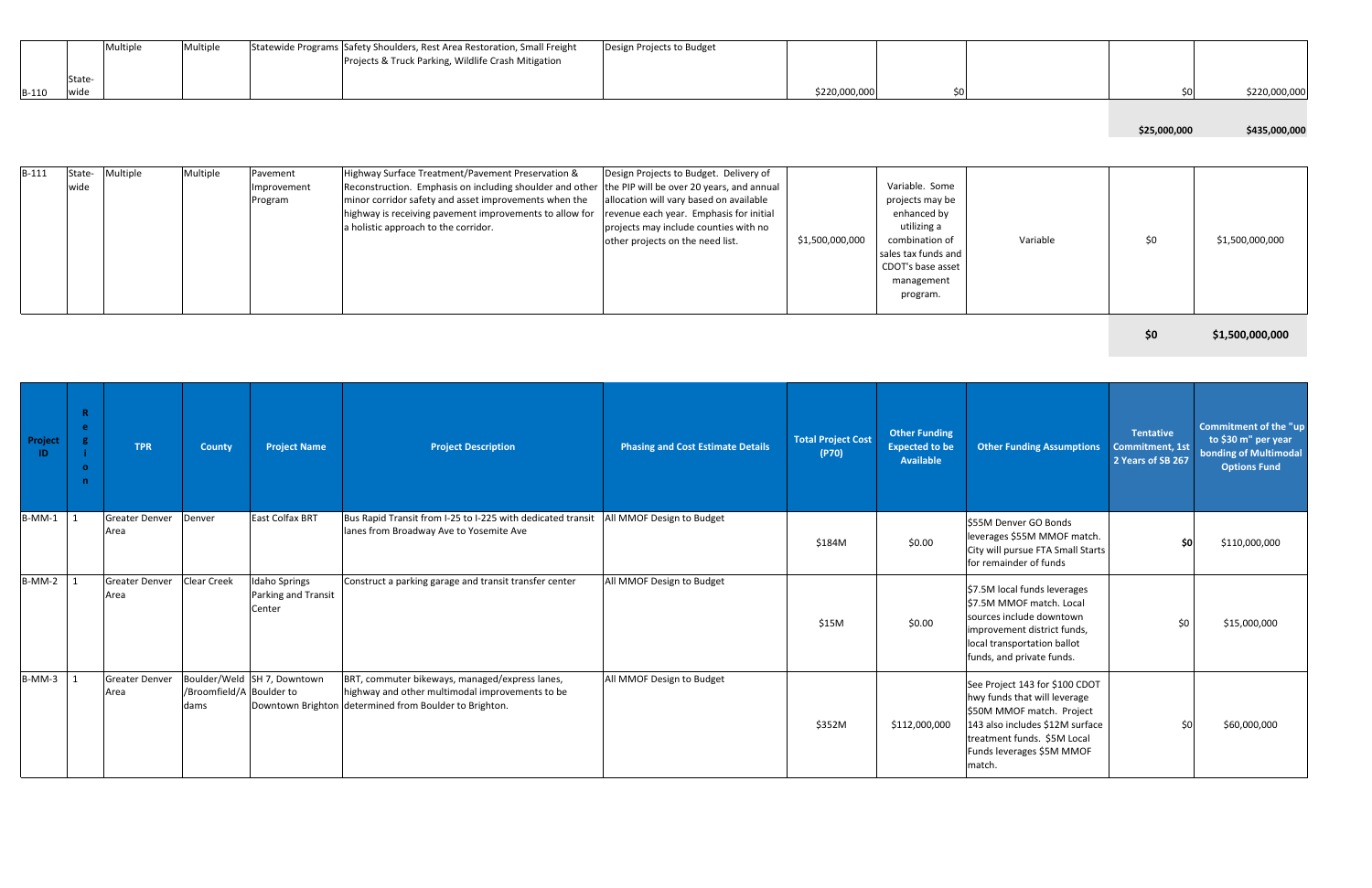|              |        | Multiple | Multiple | Statewide Programs Safety Shoulders, Rest Area Restoration, Small Freight | Design Projects to Budget |               |  |
|--------------|--------|----------|----------|---------------------------------------------------------------------------|---------------------------|---------------|--|
|              |        |          |          | Projects & Truck Parking, Wildlife Crash Mitigation                       |                           |               |  |
|              | State- |          |          |                                                                           |                           |               |  |
| <b>B-110</b> | wide   |          |          |                                                                           |                           | \$220,000,000 |  |

| \$220,000,000 | \$0                                                                                                                                                     |          | \$0          | \$220,000,000   |
|---------------|---------------------------------------------------------------------------------------------------------------------------------------------------------|----------|--------------|-----------------|
|               |                                                                                                                                                         |          | \$25,000,000 | \$435,000,000   |
| 00,000,000    | Variable. Some<br>projects may be<br>enhanced by<br>utilizing a<br>combination of<br>sales tax funds and<br>CDOT's base asset<br>management<br>program. | Variable | \$0          | \$1,500,000,000 |
|               |                                                                                                                                                         |          | \$0          | \$1,500,000,000 |

| $B-111$ | State- | Multiple | Multiple | Pavement    | Highway Surface Treatment/Pavement Preservation &                                                  | Design Projects to Budget. Delivery of  |                 |                     |  |
|---------|--------|----------|----------|-------------|----------------------------------------------------------------------------------------------------|-----------------------------------------|-----------------|---------------------|--|
|         | wide   |          |          | Improvement | Reconstruction. Emphasis on including shoulder and other the PIP will be over 20 years, and annual |                                         |                 | Variable. Some      |  |
|         |        |          |          | Program     | minor corridor safety and asset improvements when the                                              | allocation will vary based on available |                 | projects may be     |  |
|         |        |          |          |             | highway is receiving pavement improvements to allow for                                            | revenue each year. Emphasis for initial |                 | enhanced by         |  |
|         |        |          |          |             | a holistic approach to the corridor.                                                               | projects may include counties with no   |                 | utilizing a         |  |
|         |        |          |          |             |                                                                                                    | other projects on the need list.        | \$1,500,000,000 | combination of      |  |
|         |        |          |          |             |                                                                                                    |                                         |                 | sales tax funds and |  |
|         |        |          |          |             |                                                                                                    |                                         |                 | CDOT's base asset   |  |
|         |        |          |          |             |                                                                                                    |                                         |                 | management          |  |
|         |        |          |          |             |                                                                                                    |                                         |                 | program.            |  |
|         |        |          |          |             |                                                                                                    |                                         |                 |                     |  |

| Project<br>- ID- | $\mathbf{R}$<br>e.<br>$\mathbf{o}$<br>n | <b>TPR</b>                    | <b>County</b>                    | <b>Project Name</b>                                   | <b>Project Description</b>                                                                                                                                  | <b>Phasing and Cost Estimate Details</b> | <b>Total Project Cost</b><br>(P70) | <b>Other Funding</b><br><b>Expected to be</b><br><b>Available</b> | <b>Other Funding Assumptions</b>                                                                                                                                                                     | <b>Tentative</b><br><b>Commitment, 1st</b><br>2 Years of SB 267 | <b>Commitment of the "up</b><br>to \$30 m" per year<br>bonding of Multimodal<br><b>Options Fund</b> |
|------------------|-----------------------------------------|-------------------------------|----------------------------------|-------------------------------------------------------|-------------------------------------------------------------------------------------------------------------------------------------------------------------|------------------------------------------|------------------------------------|-------------------------------------------------------------------|------------------------------------------------------------------------------------------------------------------------------------------------------------------------------------------------------|-----------------------------------------------------------------|-----------------------------------------------------------------------------------------------------|
| $B-MM-1$ 1       |                                         | <b>Greater Denver</b><br>Area | Denver                           | <b>East Colfax BRT</b>                                | Bus Rapid Transit from I-25 to I-225 with dedicated transit<br>lanes from Broadway Ave to Yosemite Ave                                                      | All MMOF Design to Budget                | \$184M                             | \$0.00                                                            | \$55M Denver GO Bonds<br>leverages \$55M MMOF match.<br>City will pursue FTA Small Starts<br>for remainder of funds                                                                                  | \$0                                                             | \$110,000,000                                                                                       |
| $B-MM-2$ 1       |                                         | <b>Greater Denver</b><br>Area | <b>Clear Creek</b>               | <b>Idaho Springs</b><br>Parking and Transit<br>Center | Construct a parking garage and transit transfer center                                                                                                      | All MMOF Design to Budget                | \$15M                              | \$0.00                                                            | \$7.5M local funds leverages<br>S7.5M MMOF match. Local<br>sources include downtown<br>improvement district funds,<br>local transportation ballot<br>funds, and private funds.                       | \$0                                                             | \$15,000,000                                                                                        |
| $B-MM-3$ 1       |                                         | <b>Greater Denver</b><br>Area | /Broomfield/A Boulder to<br>dams | Boulder/Weld SH 7, Downtown                           | BRT, commuter bikeways, managed/express lanes,<br>highway and other multimodal improvements to be<br>Downtown Brighton determined from Boulder to Brighton. | All MMOF Design to Budget                | \$352M                             | \$112,000,000                                                     | See Project 143 for \$100 CDOT<br>hwy funds that will leverage<br>\$50M MMOF match. Project<br>143 also includes \$12M surface<br>treatment funds. \$5M Local<br>Funds leverages \$5M MMOF<br>match. | 50                                                              | \$60,000,000                                                                                        |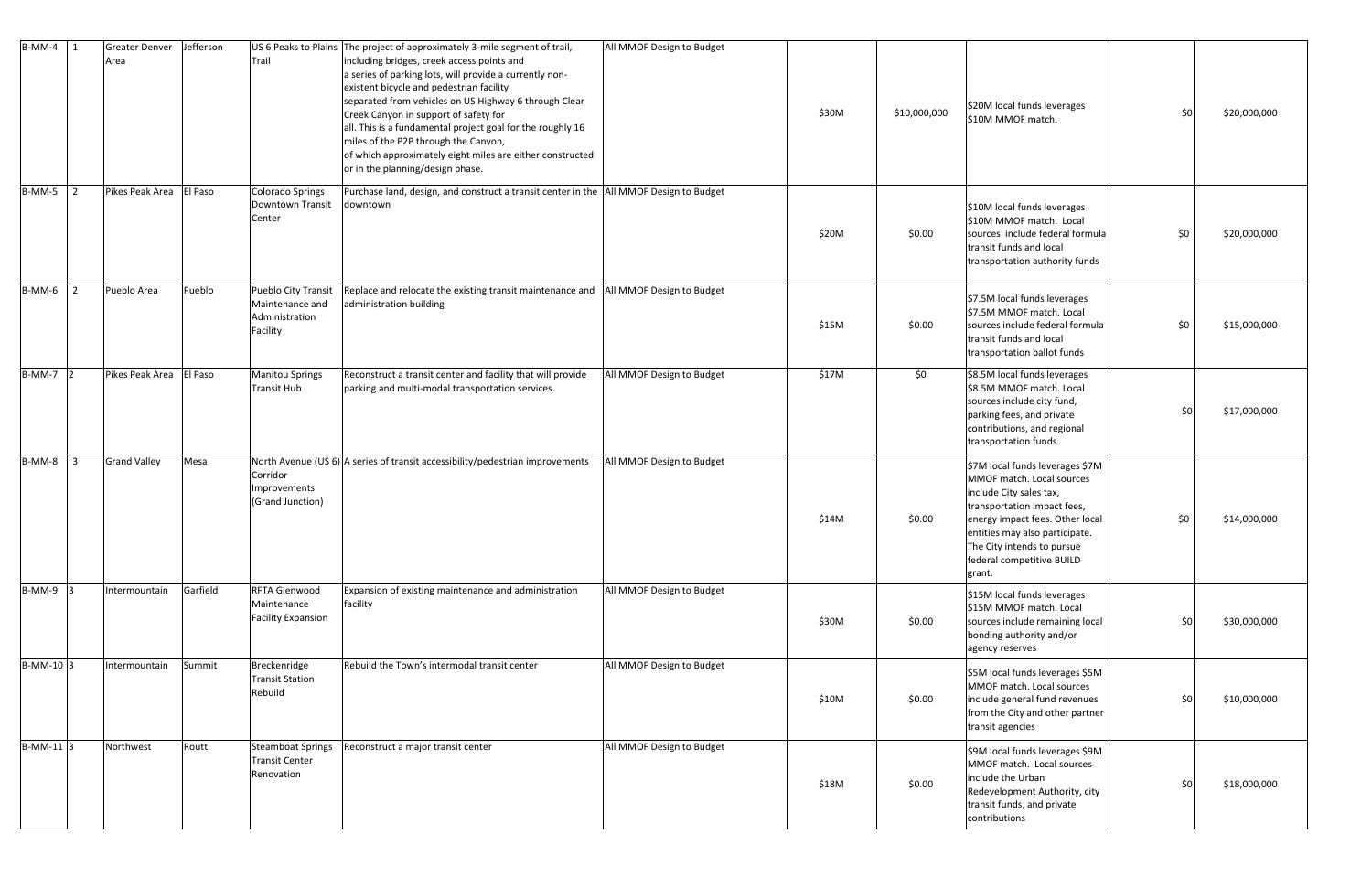| $B-MM-4$ 1             | <b>Greater Denver</b><br>Area | Jefferson | Trail                                                                | US 6 Peaks to Plains The project of approximately 3-mile segment of trail,<br>including bridges, creek access points and<br>a series of parking lots, will provide a currently non-<br>existent bicycle and pedestrian facility<br>separated from vehicles on US Highway 6 through Clear<br>Creek Canyon in support of safety for<br>all. This is a fundamental project goal for the roughly 16<br>miles of the P2P through the Canyon,<br>of which approximately eight miles are either constructed<br>or in the planning/design phase. | All MMOF Design to Budget | \$30M | \$10,000,000 | \$20M local funds leverages<br>\$10M MMOF match.                                                                                                                                                                                                                 | \$0 | \$20,000,000 |
|------------------------|-------------------------------|-----------|----------------------------------------------------------------------|------------------------------------------------------------------------------------------------------------------------------------------------------------------------------------------------------------------------------------------------------------------------------------------------------------------------------------------------------------------------------------------------------------------------------------------------------------------------------------------------------------------------------------------|---------------------------|-------|--------------|------------------------------------------------------------------------------------------------------------------------------------------------------------------------------------------------------------------------------------------------------------------|-----|--------------|
| $B-MM-5$<br>2          | Pikes Peak Area               | El Paso   | <b>Colorado Springs</b><br><b>Downtown Transit</b><br>Center         | Purchase land, design, and construct a transit center in the  All MMOF Design to Budget<br>downtown                                                                                                                                                                                                                                                                                                                                                                                                                                      |                           | \$20M | \$0.00       | \$10M local funds leverages<br>\$10M MMOF match. Local<br>sources include federal formula<br>transit funds and local<br>transportation authority funds                                                                                                           | \$0 | \$20,000,000 |
| $B-MM-6$ 2             | Pueblo Area                   | Pueblo    | Pueblo City Transit<br>Maintenance and<br>Administration<br>Facility | Replace and relocate the existing transit maintenance and<br>administration building                                                                                                                                                                                                                                                                                                                                                                                                                                                     | All MMOF Design to Budget | \$15M | \$0.00       | \$7.5M local funds leverages<br>\$7.5M MMOF match. Local<br>sources include federal formula<br>transit funds and local<br>transportation ballot funds                                                                                                            | \$0 | \$15,000,000 |
| B-MM-7 2               | Pikes Peak Area               | El Paso   | <b>Manitou Springs</b><br><b>Transit Hub</b>                         | Reconstruct a transit center and facility that will provide<br>parking and multi-modal transportation services.                                                                                                                                                                                                                                                                                                                                                                                                                          | All MMOF Design to Budget | \$17M | \$0          | \$8.5M local funds leverages<br>\$8.5M MMOF match. Local<br>sources include city fund,<br>parking fees, and private<br>contributions, and regional<br>transportation funds                                                                                       | \$0 | \$17,000,000 |
| B-MM-8<br>$\mathbf{3}$ | <b>Grand Valley</b>           | Mesa      | Corridor<br>Improvements<br>(Grand Junction)                         | North Avenue (US 6) A series of transit accessibility/pedestrian improvements                                                                                                                                                                                                                                                                                                                                                                                                                                                            | All MMOF Design to Budget | \$14M | \$0.00       | \$7M local funds leverages \$7M<br>MMOF match. Local sources<br>include City sales tax,<br>transportation impact fees,<br>energy impact fees. Other local<br>entities may also participate.<br>The City intends to pursue<br>federal competitive BUILD<br>grant. | \$0 | \$14,000,000 |
| $B-MM-9$ 3             | Intermountain                 | Garfield  | RFTA Glenwood<br>Maintenance<br><b>Facility Expansion</b>            | Expansion of existing maintenance and administration<br>facility                                                                                                                                                                                                                                                                                                                                                                                                                                                                         | All MMOF Design to Budget | \$30M | \$0.00       | \$15M local funds leverages<br>\$15M MMOF match. Local<br>sources include remaining local<br>bonding authority and/or<br>agency reserves                                                                                                                         | \$0 | \$30,000,000 |
| B-MM-10 3              | Intermountain                 | Summit    | Breckenridge<br><b>Transit Station</b><br>Rebuild                    | Rebuild the Town's intermodal transit center                                                                                                                                                                                                                                                                                                                                                                                                                                                                                             | All MMOF Design to Budget | \$10M | \$0.00       | \$5M local funds leverages \$5M<br>MMOF match. Local sources<br>include general fund revenues<br>from the City and other partner<br>transit agencies                                                                                                             | \$0 | \$10,000,000 |
| $B-MM-11$ 3            | Northwest                     | Routt     | <b>Steamboat Springs</b><br><b>Transit Center</b><br>Renovation      | Reconstruct a major transit center                                                                                                                                                                                                                                                                                                                                                                                                                                                                                                       | All MMOF Design to Budget | \$18M | \$0.00       | \$9M local funds leverages \$9M<br>MMOF match. Local sources<br>include the Urban<br>Redevelopment Authority, city<br>transit funds, and private<br>contributions                                                                                                | \$0 | \$18,000,000 |